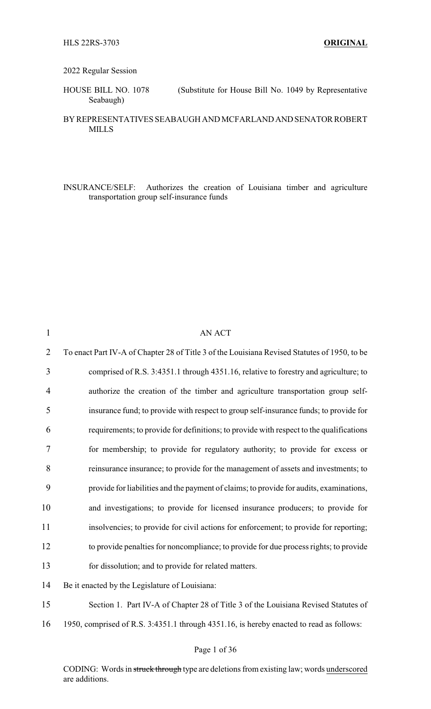### 2022 Regular Session

HOUSE BILL NO. 1078 (Substitute for House Bill No. 1049 by Representative Seabaugh)

### BY REPRESENTATIVES SEABAUGH AND MCFARLAND AND SENATOR ROBERT MILLS

INSURANCE/SELF: Authorizes the creation of Louisiana timber and agriculture transportation group self-insurance funds

| $\mathbf{1}$   | <b>AN ACT</b>                                                                                |
|----------------|----------------------------------------------------------------------------------------------|
| $\overline{2}$ | To enact Part IV-A of Chapter 28 of Title 3 of the Louisiana Revised Statutes of 1950, to be |
| 3              | comprised of R.S. 3:4351.1 through 4351.16, relative to forestry and agriculture; to         |
| $\overline{4}$ | authorize the creation of the timber and agriculture transportation group self-              |
| 5              | insurance fund; to provide with respect to group self-insurance funds; to provide for        |
| 6              | requirements; to provide for definitions; to provide with respect to the qualifications      |
| 7              | for membership; to provide for regulatory authority; to provide for excess or                |
| 8              | reinsurance insurance; to provide for the management of assets and investments; to           |
| 9              | provide for liabilities and the payment of claims; to provide for audits, examinations,      |
| 10             | and investigations; to provide for licensed insurance producers; to provide for              |
| 11             | insolvencies; to provide for civil actions for enforcement; to provide for reporting;        |
| 12             | to provide penalties for noncompliance; to provide for due process rights; to provide        |
| 13             | for dissolution; and to provide for related matters.                                         |
| 14             | Be it enacted by the Legislature of Louisiana:                                               |
| 15             | Section 1. Part IV-A of Chapter 28 of Title 3 of the Louisiana Revised Statutes of           |

16 1950, comprised of R.S. 3:4351.1 through 4351.16, is hereby enacted to read as follows:

## Page 1 of 36

CODING: Words in struck through type are deletions from existing law; words underscored are additions.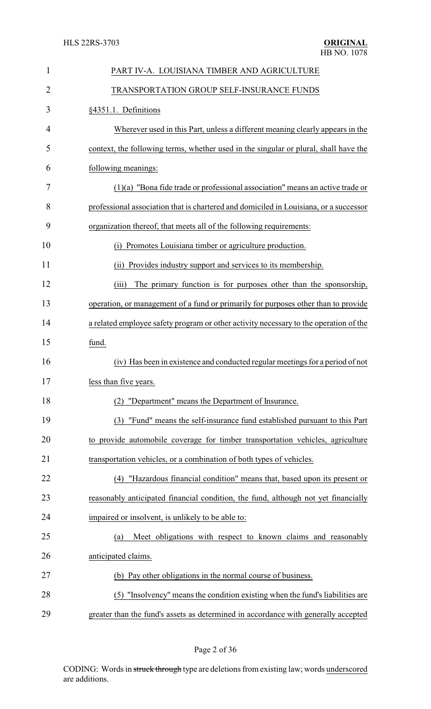| $\mathbf{1}$ | PART IV-A. LOUISIANA TIMBER AND AGRICULTURE                                           |
|--------------|---------------------------------------------------------------------------------------|
| 2            | TRANSPORTATION GROUP SELF-INSURANCE FUNDS                                             |
| 3            | §4351.1. Definitions                                                                  |
| 4            | Wherever used in this Part, unless a different meaning clearly appears in the         |
| 5            | context, the following terms, whether used in the singular or plural, shall have the  |
| 6            | following meanings:                                                                   |
| 7            | $(1)(a)$ "Bona fide trade or professional association" means an active trade or       |
| 8            | professional association that is chartered and domiciled in Louisiana, or a successor |
| 9            | organization thereof, that meets all of the following requirements:                   |
| 10           | (i) Promotes Louisiana timber or agriculture production.                              |
| 11           | Provides industry support and services to its membership.<br>(i)                      |
| 12           | The primary function is for purposes other than the sponsorship,<br>(iii)             |
| 13           | operation, or management of a fund or primarily for purposes other than to provide    |
| 14           | a related employee safety program or other activity necessary to the operation of the |
| 15           | fund.                                                                                 |
| 16           | (iv) Has been in existence and conducted regular meetings for a period of not         |
| 17           | less than five years.                                                                 |
| 18           | (2) "Department" means the Department of Insurance.                                   |
| 19           | (3) "Fund" means the self-insurance fund established pursuant to this Part            |
| 20           | to provide automobile coverage for timber transportation vehicles, agriculture        |
| 21           | transportation vehicles, or a combination of both types of vehicles.                  |
| 22           | "Hazardous financial condition" means that, based upon its present or<br>(4)          |
| 23           | reasonably anticipated financial condition, the fund, although not yet financially    |
| 24           | impaired or insolvent, is unlikely to be able to:                                     |
| 25           | Meet obligations with respect to known claims and reasonably<br>(a)                   |
| 26           | anticipated claims.                                                                   |
| 27           | (b) Pay other obligations in the normal course of business.                           |
| 28           | (5) "Insolvency" means the condition existing when the fund's liabilities are         |
| 29           | greater than the fund's assets as determined in accordance with generally accepted    |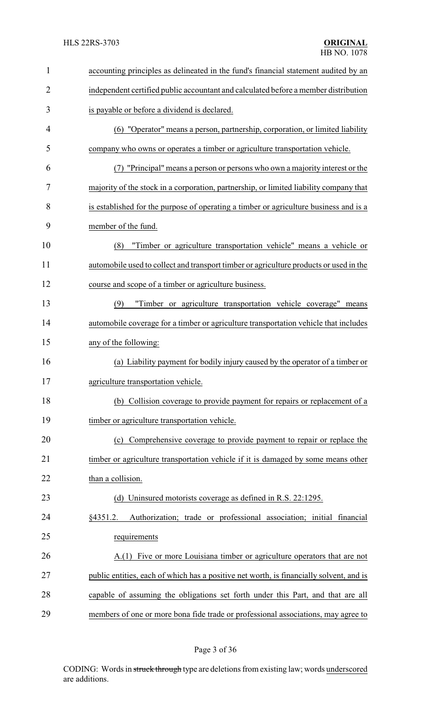| $\mathbf{1}$   | accounting principles as delineated in the fund's financial statement audited by an     |
|----------------|-----------------------------------------------------------------------------------------|
| $\overline{2}$ | independent certified public accountant and calculated before a member distribution     |
| 3              | is payable or before a dividend is declared.                                            |
| 4              | (6) "Operator" means a person, partnership, corporation, or limited liability           |
| 5              | company who owns or operates a timber or agriculture transportation vehicle.            |
| 6              | (7) "Principal" means a person or persons who own a majority interest or the            |
| 7              | majority of the stock in a corporation, partnership, or limited liability company that  |
| 8              | is established for the purpose of operating a timber or agriculture business and is a   |
| 9              | member of the fund.                                                                     |
| 10             | "Timber or agriculture transportation vehicle" means a vehicle or<br>(8)                |
| 11             | automobile used to collect and transport timber or agriculture products or used in the  |
| 12             | course and scope of a timber or agriculture business.                                   |
| 13             | "Timber or agriculture transportation vehicle coverage" means<br>(9)                    |
| 14             | automobile coverage for a timber or agriculture transportation vehicle that includes    |
| 15             | any of the following:                                                                   |
| 16             | (a) Liability payment for bodily injury caused by the operator of a timber or           |
| 17             | agriculture transportation vehicle.                                                     |
| 18             | (b) Collision coverage to provide payment for repairs or replacement of a               |
| 19             | timber or agriculture transportation vehicle.                                           |
| 20             | (c) Comprehensive coverage to provide payment to repair or replace the                  |
| 21             | timber or agriculture transportation vehicle if it is damaged by some means other       |
| 22             | than a collision.                                                                       |
| 23             | (d) Uninsured motorists coverage as defined in R.S. 22:1295.                            |
| 24             | Authorization; trade or professional association; initial financial<br>§4351.2.         |
| 25             | requirements                                                                            |
| 26             | A.(1) Five or more Louisiana timber or agriculture operators that are not               |
| 27             | public entities, each of which has a positive net worth, is financially solvent, and is |
| 28             | capable of assuming the obligations set forth under this Part, and that are all         |
| 29             | members of one or more bona fide trade or professional associations, may agree to       |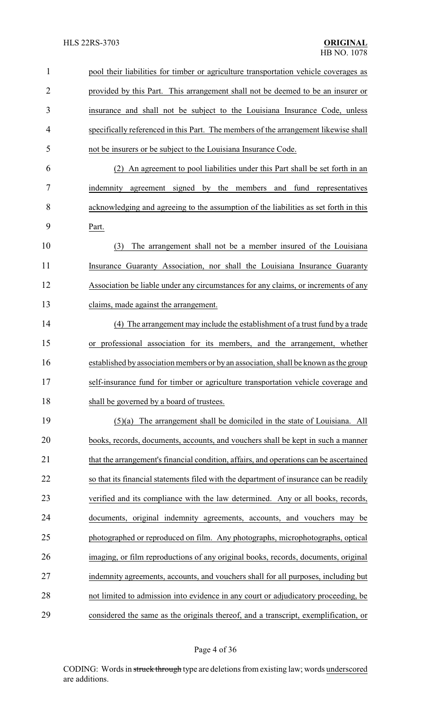| 1  | pool their liabilities for timber or agriculture transportation vehicle coverages as   |
|----|----------------------------------------------------------------------------------------|
| 2  | provided by this Part. This arrangement shall not be deemed to be an insurer or        |
| 3  | insurance and shall not be subject to the Louisiana Insurance Code, unless             |
| 4  | specifically referenced in this Part. The members of the arrangement likewise shall    |
| 5  | not be insurers or be subject to the Louisiana Insurance Code.                         |
| 6  | An agreement to pool liabilities under this Part shall be set forth in an<br>(2)       |
| 7  | indemnity agreement signed by the members and fund representatives                     |
| 8  | acknowledging and agreeing to the assumption of the liabilities as set forth in this   |
| 9  | Part.                                                                                  |
| 10 | The arrangement shall not be a member insured of the Louisiana<br>(3)                  |
| 11 | Insurance Guaranty Association, nor shall the Louisiana Insurance Guaranty             |
| 12 | Association be liable under any circumstances for any claims, or increments of any     |
| 13 | claims, made against the arrangement.                                                  |
| 14 | (4) The arrangement may include the establishment of a trust fund by a trade           |
| 15 | or professional association for its members, and the arrangement, whether              |
| 16 | established by association members or by an association, shall be known as the group   |
| 17 | self-insurance fund for timber or agriculture transportation vehicle coverage and      |
| 18 | shall be governed by a board of trustees.                                              |
| 19 | $(5)(a)$ The arrangement shall be domiciled in the state of Louisiana. All             |
| 20 | books, records, documents, accounts, and vouchers shall be kept in such a manner       |
| 21 | that the arrangement's financial condition, affairs, and operations can be ascertained |
| 22 | so that its financial statements filed with the department of insurance can be readily |
| 23 | verified and its compliance with the law determined. Any or all books, records,        |
| 24 | documents, original indemnity agreements, accounts, and vouchers may be                |
| 25 | photographed or reproduced on film. Any photographs, microphotographs, optical         |
| 26 | imaging, or film reproductions of any original books, records, documents, original     |
| 27 | indemnity agreements, accounts, and vouchers shall for all purposes, including but     |
| 28 | not limited to admission into evidence in any court or adjudicatory proceeding, be     |
| 29 | considered the same as the originals thereof, and a transcript, exemplification, or    |

# Page 4 of 36

CODING: Words in struck through type are deletions from existing law; words underscored are additions.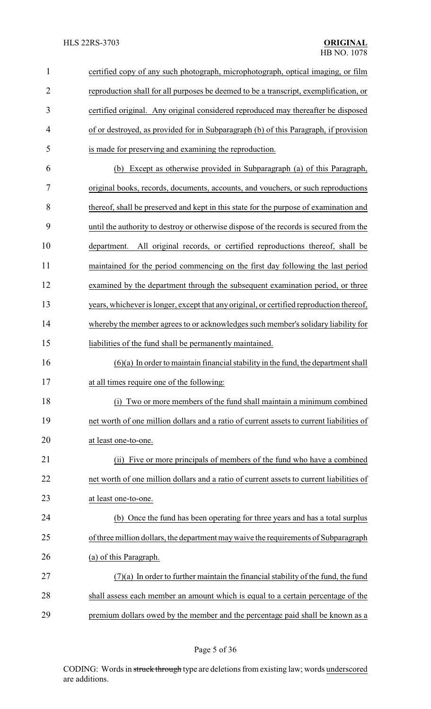| $\mathbf{1}$   | certified copy of any such photograph, microphotograph, optical imaging, or film         |
|----------------|------------------------------------------------------------------------------------------|
| $\overline{2}$ | reproduction shall for all purposes be deemed to be a transcript, exemplification, or    |
| 3              | certified original. Any original considered reproduced may thereafter be disposed        |
| 4              | of or destroyed, as provided for in Subparagraph (b) of this Paragraph, if provision     |
| 5              | is made for preserving and examining the reproduction.                                   |
| 6              | Except as otherwise provided in Subparagraph (a) of this Paragraph,<br>(b)               |
| 7              | original books, records, documents, accounts, and vouchers, or such reproductions        |
| 8              | thereof, shall be preserved and kept in this state for the purpose of examination and    |
| 9              | until the authority to destroy or otherwise dispose of the records is secured from the   |
| 10             | All original records, or certified reproductions thereof, shall be<br>department.        |
| 11             | maintained for the period commencing on the first day following the last period          |
| 12             | examined by the department through the subsequent examination period, or three           |
| 13             | years, whichever is longer, except that any original, or certified reproduction thereof, |
| 14             | whereby the member agrees to or acknowledges such member's solidary liability for        |
| 15             | liabilities of the fund shall be permanently maintained.                                 |
| 16             | $(6)(a)$ In order to maintain financial stability in the fund, the department shall      |
| 17             | at all times require one of the following:                                               |
| 18             | Two or more members of the fund shall maintain a minimum combined<br>(i)                 |
| 19             | net worth of one million dollars and a ratio of current assets to current liabilities of |
| 20             | at least one-to-one.                                                                     |
| 21             | (ii) Five or more principals of members of the fund who have a combined                  |
| 22             | net worth of one million dollars and a ratio of current assets to current liabilities of |
| 23             | at least one-to-one.                                                                     |
| 24             | (b) Once the fund has been operating for three years and has a total surplus             |
| 25             | of three million dollars, the department may waive the requirements of Subparagraph      |
| 26             | (a) of this Paragraph.                                                                   |
| 27             | $(7)(a)$ In order to further maintain the financial stability of the fund, the fund      |
| 28             | shall assess each member an amount which is equal to a certain percentage of the         |
| 29             | premium dollars owed by the member and the percentage paid shall be known as a           |

Page 5 of 36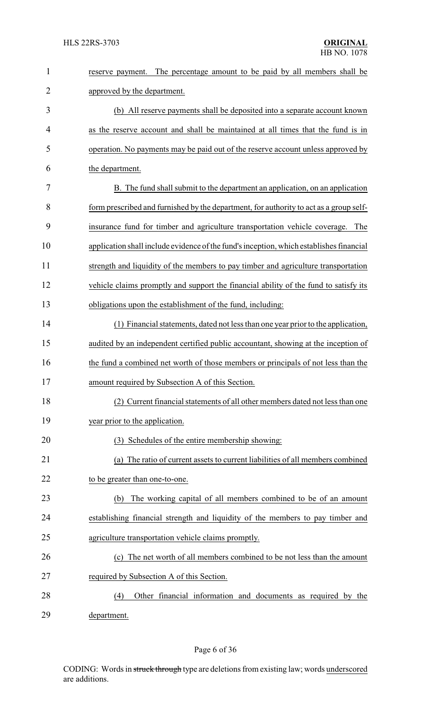| $\mathbf{1}$   | The percentage amount to be paid by all members shall be<br>reserve payment.            |
|----------------|-----------------------------------------------------------------------------------------|
| $\overline{2}$ | approved by the department.                                                             |
| 3              | (b) All reserve payments shall be deposited into a separate account known               |
| 4              | as the reserve account and shall be maintained at all times that the fund is in         |
| 5              | operation. No payments may be paid out of the reserve account unless approved by        |
| 6              | the department.                                                                         |
| 7              | B. The fund shall submit to the department an application, on an application            |
| 8              | form prescribed and furnished by the department, for authority to act as a group self-  |
| 9              | insurance fund for timber and agriculture transportation vehicle coverage.<br>The       |
| 10             | application shall include evidence of the fund's inception, which establishes financial |
| 11             | strength and liquidity of the members to pay timber and agriculture transportation      |
| 12             | vehicle claims promptly and support the financial ability of the fund to satisfy its    |
| 13             | obligations upon the establishment of the fund, including:                              |
| 14             | (1) Financial statements, dated not less than one year prior to the application,        |
| 15             | audited by an independent certified public accountant, showing at the inception of      |
| 16             | the fund a combined net worth of those members or principals of not less than the       |
| 17             | amount required by Subsection A of this Section                                         |
| 18             | (2) Current financial statements of all other members dated not less than one           |
| 19             | year prior to the application.                                                          |
| 20             | (3) Schedules of the entire membership showing:                                         |
| 21             | (a) The ratio of current assets to current liabilities of all members combined          |
| 22             | to be greater than one-to-one.                                                          |
| 23             | The working capital of all members combined to be of an amount<br>(b)                   |
| 24             | establishing financial strength and liquidity of the members to pay timber and          |
| 25             | agriculture transportation vehicle claims promptly.                                     |
| 26             | (c) The net worth of all members combined to be not less than the amount                |
| 27             | required by Subsection A of this Section.                                               |
| 28             | Other financial information and documents as required by the<br>(4)                     |
| 29             | department.                                                                             |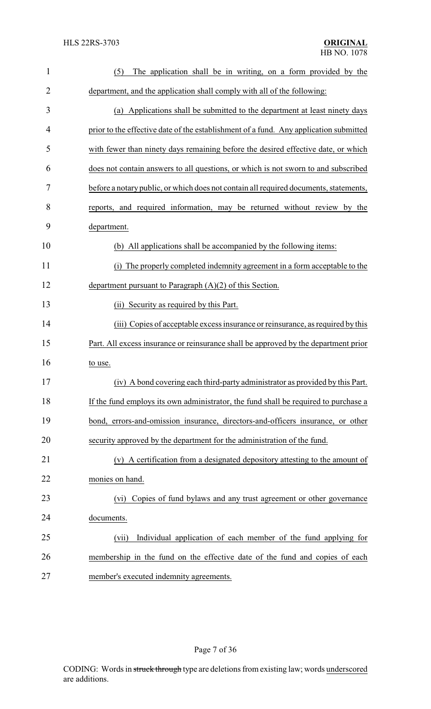| $\mathbf{1}$   | The application shall be in writing, on a form provided by the<br>(5)                 |
|----------------|---------------------------------------------------------------------------------------|
| $\overline{2}$ | department, and the application shall comply with all of the following:               |
| 3              | (a) Applications shall be submitted to the department at least ninety days            |
| 4              | prior to the effective date of the establishment of a fund. Any application submitted |
| 5              | with fewer than ninety days remaining before the desired effective date, or which     |
| 6              | does not contain answers to all questions, or which is not sworn to and subscribed    |
| 7              | before a notary public, or which does not contain all required documents, statements, |
| 8              | reports, and required information, may be returned without review by the              |
| 9              | department.                                                                           |
| 10             | (b) All applications shall be accompanied by the following items:                     |
| 11             | The properly completed indemnity agreement in a form acceptable to the<br>(i)         |
| 12             | department pursuant to Paragraph $(A)(2)$ of this Section.                            |
| 13             | (ii) Security as required by this Part.                                               |
| 14             | (iii) Copies of acceptable excess insurance or reinsurance, as required by this       |
| 15             | Part. All excess insurance or reinsurance shall be approved by the department prior   |
| 16             | to use.                                                                               |
| 17             | (iv) A bond covering each third-party administrator as provided by this Part.         |
| 18             | If the fund employs its own administrator, the fund shall be required to purchase a   |
| 19             | bond, errors-and-omission insurance, directors-and-officers insurance, or other       |
| 20             | security approved by the department for the administration of the fund.               |
| 21             | (v) A certification from a designated depository attesting to the amount of           |
| 22             | monies on hand.                                                                       |
| 23             | Copies of fund bylaws and any trust agreement or other governance<br>(vi)             |
| 24             | documents.                                                                            |
| 25             | Individual application of each member of the fund applying for<br>(vii)               |
| 26             | membership in the fund on the effective date of the fund and copies of each           |
| 27             | member's executed indemnity agreements.                                               |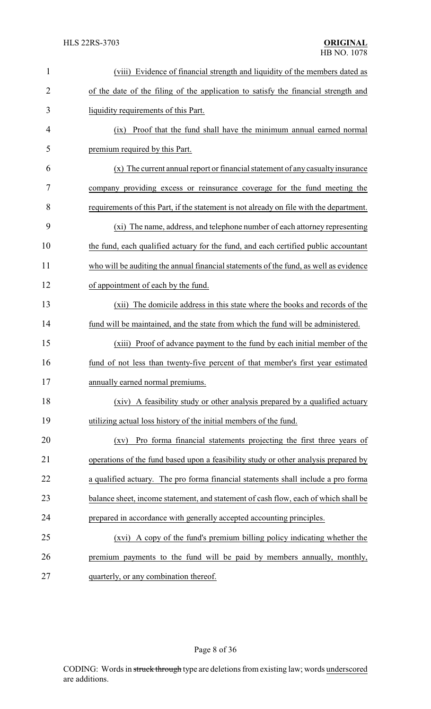| $\mathbf{1}$   | (viii) Evidence of financial strength and liquidity of the members dated as              |
|----------------|------------------------------------------------------------------------------------------|
| $\overline{2}$ | of the date of the filing of the application to satisfy the financial strength and       |
| 3              | liquidity requirements of this Part.                                                     |
| 4              | Proof that the fund shall have the minimum annual earned normal<br>(ix)                  |
| 5              | premium required by this Part.                                                           |
| 6              | (x) The current annual report or financial statement of any casualty insurance           |
| 7              | company providing excess or reinsurance coverage for the fund meeting the                |
| 8              | requirements of this Part, if the statement is not already on file with the department.  |
| 9              | (xi) The name, address, and telephone number of each attorney representing               |
| 10             | the fund, each qualified actuary for the fund, and each certified public accountant      |
| 11             | who will be auditing the annual financial statements of the fund, as well as evidence    |
| 12             | of appointment of each by the fund.                                                      |
| 13             | The domicile address in this state where the books and records of the<br>(xii)           |
| 14             | fund will be maintained, and the state from which the fund will be administered.         |
| 15             | (xiii) Proof of advance payment to the fund by each initial member of the                |
| 16             | fund of not less than twenty-five percent of that member's first year estimated          |
| 17             | annually earned normal premiums.                                                         |
| 18             | (xiv) A feasibility study or other analysis prepared by a qualified actuary              |
| 19             | utilizing actual loss history of the initial members of the fund.                        |
| 20             | Pro forma financial statements projecting the first three years of<br>$\left( xy\right)$ |
| 21             | operations of the fund based upon a feasibility study or other analysis prepared by      |
| 22             | a qualified actuary. The pro forma financial statements shall include a pro forma        |
| 23             | balance sheet, income statement, and statement of cash flow, each of which shall be      |
| 24             | prepared in accordance with generally accepted accounting principles.                    |
| 25             | (xvi) A copy of the fund's premium billing policy indicating whether the                 |
| 26             | premium payments to the fund will be paid by members annually, monthly,                  |
| 27             | quarterly, or any combination thereof.                                                   |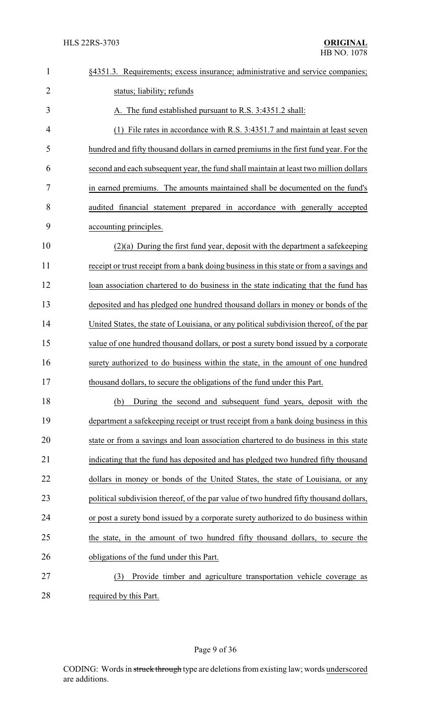| $\mathbf{1}$   | §4351.3. Requirements; excess insurance; administrative and service companies;          |
|----------------|-----------------------------------------------------------------------------------------|
| $\overline{2}$ | status; liability; refunds                                                              |
| 3              | A. The fund established pursuant to R.S. 3:4351.2 shall:                                |
| 4              | (1) File rates in accordance with R.S. 3:4351.7 and maintain at least seven             |
| 5              | hundred and fifty thousand dollars in earned premiums in the first fund year. For the   |
| 6              | second and each subsequent year, the fund shall maintain at least two million dollars   |
| 7              | in earned premiums. The amounts maintained shall be documented on the fund's            |
| 8              | audited financial statement prepared in accordance with generally accepted              |
| 9              | accounting principles.                                                                  |
| 10             | $(2)(a)$ During the first fund year, deposit with the department a safekeeping          |
| 11             | receipt or trust receipt from a bank doing business in this state or from a savings and |
| 12             | loan association chartered to do business in the state indicating that the fund has     |
| 13             | deposited and has pledged one hundred thousand dollars in money or bonds of the         |
| 14             | United States, the state of Louisiana, or any political subdivision thereof, of the par |
| 15             | value of one hundred thousand dollars, or post a surety bond issued by a corporate      |
| 16             | surety authorized to do business within the state, in the amount of one hundred         |
| 17             | thousand dollars, to secure the obligations of the fund under this Part.                |
| 18             | During the second and subsequent fund years, deposit with the<br>(b)                    |
| 19             | department a safekeeping receipt or trust receipt from a bank doing business in this    |
| 20             | state or from a savings and loan association chartered to do business in this state     |
| 21             | indicating that the fund has deposited and has pledged two hundred fifty thousand       |
| 22             | dollars in money or bonds of the United States, the state of Louisiana, or any          |
| 23             | political subdivision thereof, of the par value of two hundred fifty thousand dollars,  |
| 24             | or post a surety bond issued by a corporate surety authorized to do business within     |
| 25             | the state, in the amount of two hundred fifty thousand dollars, to secure the           |
| 26             | obligations of the fund under this Part.                                                |
| 27             | Provide timber and agriculture transportation vehicle coverage as<br>(3)                |
| 28             | required by this Part.                                                                  |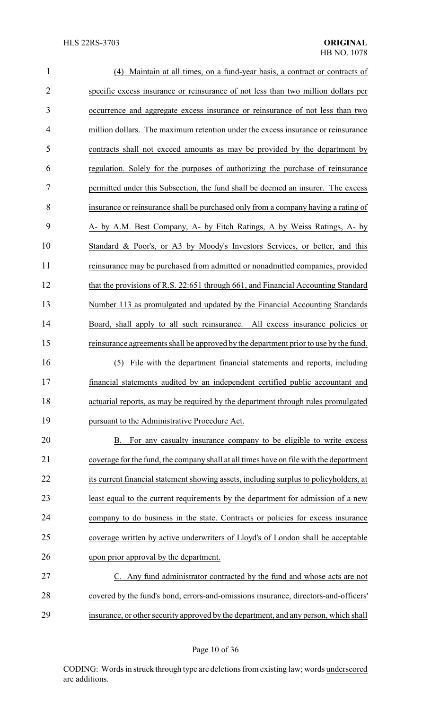| $\mathbf{1}$   | (4) Maintain at all times, on a fund-year basis, a contract or contracts of            |
|----------------|----------------------------------------------------------------------------------------|
| $\overline{2}$ | specific excess insurance or reinsurance of not less than two million dollars per      |
| 3              | occurrence and aggregate excess insurance or reinsurance of not less than two          |
| 4              | million dollars. The maximum retention under the excess insurance or reinsurance       |
| 5              | contracts shall not exceed amounts as may be provided by the department by             |
| 6              | regulation. Solely for the purposes of authorizing the purchase of reinsurance         |
| 7              | permitted under this Subsection, the fund shall be deemed an insurer. The excess       |
| 8              | insurance or reinsurance shall be purchased only from a company having a rating of     |
| 9              | A- by A.M. Best Company, A- by Fitch Ratings, A by Weiss Ratings, A- by                |
| 10             | Standard & Poor's, or A3 by Moody's Investors Services, or better, and this            |
| 11             | reinsurance may be purchased from admitted or nonadmitted companies, provided          |
| 12             | that the provisions of R.S. 22:651 through 661, and Financial Accounting Standard      |
| 13             | Number 113 as promulgated and updated by the Financial Accounting Standards            |
| 14             | Board, shall apply to all such reinsurance. All excess insurance policies or           |
| 15             | reinsurance agreements shall be approved by the department prior to use by the fund.   |
| 16             | File with the department financial statements and reports, including<br>(5)            |
| 17             | financial statements audited by an independent certified public accountant and         |
| 18             | actuarial reports, as may be required by the department through rules promulgated      |
| 19             | pursuant to the Administrative Procedure Act.                                          |
| 20             | For any casualty insurance company to be eligible to write excess<br>В.                |
| 21             | coverage for the fund, the company shall at all times have on file with the department |
| 22             | its current financial statement showing assets, including surplus to policyholders, at |
| 23             | least equal to the current requirements by the department for admission of a new       |
| 24             | company to do business in the state. Contracts or policies for excess insurance        |
| 25             | coverage written by active underwriters of Lloyd's of London shall be acceptable       |
| 26             | upon prior approval by the department.                                                 |
| 27             | C. Any fund administrator contracted by the fund and whose acts are not                |
| 28             | covered by the fund's bond, errors-and-omissions insurance, directors-and-officers'    |
| 29             | insurance, or other security approved by the department, and any person, which shall   |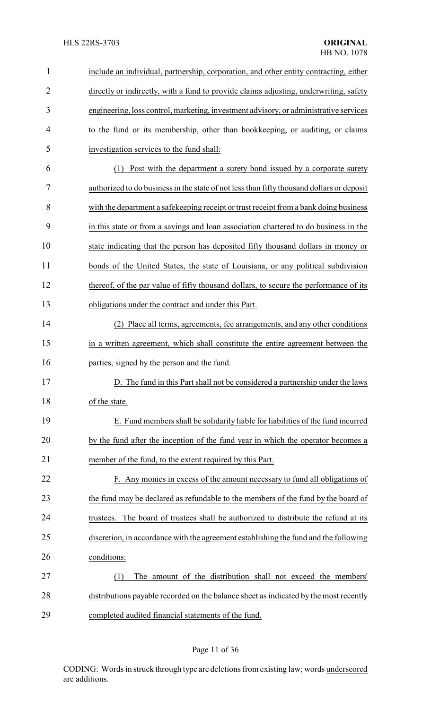## HLS 22RS-3703 **ORIGINAL**

| 1              | include an individual, partnership, corporation, and other entity contracting, either     |
|----------------|-------------------------------------------------------------------------------------------|
| $\overline{2}$ | directly or indirectly, with a fund to provide claims adjusting, underwriting, safety     |
| 3              | engineering, loss control, marketing, investment advisory, or administrative services     |
| 4              | to the fund or its membership, other than bookkeeping, or auditing, or claims             |
| 5              | investigation services to the fund shall:                                                 |
| 6              | Post with the department a surety bond issued by a corporate surety<br>(1)                |
| 7              | authorized to do business in the state of not less than fifty thousand dollars or deposit |
| 8              | with the department a safekeeping receipt or trust receipt from a bank doing business     |
| 9              | in this state or from a savings and loan association chartered to do business in the      |
| 10             | state indicating that the person has deposited fifty thousand dollars in money or         |
| 11             | bonds of the United States, the state of Louisiana, or any political subdivision          |
| 12             | thereof, of the par value of fifty thousand dollars, to secure the performance of its     |
| 13             | obligations under the contract and under this Part.                                       |
| 14             | (2) Place all terms, agreements, fee arrangements, and any other conditions               |
| 15             | in a written agreement, which shall constitute the entire agreement between the           |
| 16             | parties, signed by the person and the fund.                                               |
| 17             | D. The fund in this Part shall not be considered a partnership under the laws             |
| 18             | of the state.                                                                             |
| 19             | E. Fund members shall be solidarily liable for liabilities of the fund incurred           |
| 20             | by the fund after the inception of the fund year in which the operator becomes a          |
| 21             | member of the fund, to the extent required by this Part.                                  |
| 22             | F. Any monies in excess of the amount necessary to fund all obligations of                |
| 23             | the fund may be declared as refundable to the members of the fund by the board of         |
| 24             | The board of trustees shall be authorized to distribute the refund at its<br>trustees.    |
| 25             | discretion, in accordance with the agreement establishing the fund and the following      |
| 26             | conditions:                                                                               |
| 27             | The amount of the distribution shall not exceed the members'<br>(1)                       |
| 28             | distributions payable recorded on the balance sheet as indicated by the most recently     |
| 29             | completed audited financial statements of the fund.                                       |

# Page 11 of 36

CODING: Words in struck through type are deletions from existing law; words underscored are additions.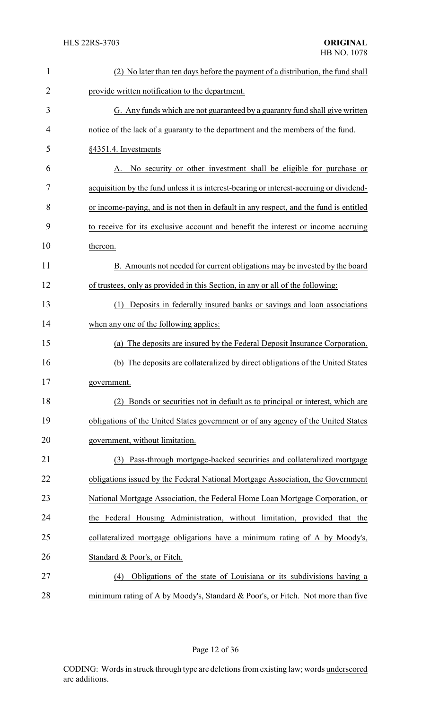| $\mathbf{1}$   | (2) No later than ten days before the payment of a distribution, the fund shall         |
|----------------|-----------------------------------------------------------------------------------------|
| $\overline{2}$ | provide written notification to the department.                                         |
| 3              | G. Any funds which are not guaranteed by a guaranty fund shall give written             |
| 4              | notice of the lack of a guaranty to the department and the members of the fund.         |
| 5              | §4351.4. Investments                                                                    |
| 6              | No security or other investment shall be eligible for purchase or<br>Α.                 |
| 7              | acquisition by the fund unless it is interest-bearing or interest-accruing or dividend- |
| 8              | or income-paying, and is not then in default in any respect, and the fund is entitled   |
| 9              | to receive for its exclusive account and benefit the interest or income accruing        |
| 10             | thereon.                                                                                |
| 11             | B. Amounts not needed for current obligations may be invested by the board              |
| 12             | of trustees, only as provided in this Section, in any or all of the following:          |
| 13             | Deposits in federally insured banks or savings and loan associations<br>(1)             |
| 14             | when any one of the following applies:                                                  |
| 15             | (a) The deposits are insured by the Federal Deposit Insurance Corporation.              |
| 16             | The deposits are collateralized by direct obligations of the United States<br>(b)       |
| 17             | government.                                                                             |
| 18             | Bonds or securities not in default as to principal or interest, which are<br>(2)        |
| 19             | obligations of the United States government or of any agency of the United States       |
| 20             | government, without limitation.                                                         |
| 21             | Pass-through mortgage-backed securities and collateralized mortgage<br>(3)              |
| 22             | obligations issued by the Federal National Mortgage Association, the Government         |
| 23             | National Mortgage Association, the Federal Home Loan Mortgage Corporation, or           |
| 24             | the Federal Housing Administration, without limitation, provided that the               |
| 25             | collateralized mortgage obligations have a minimum rating of A by Moody's,              |
| 26             | Standard & Poor's, or Fitch.                                                            |
| 27             | Obligations of the state of Louisiana or its subdivisions having a<br>(4)               |
| 28             | minimum rating of A by Moody's, Standard & Poor's, or Fitch. Not more than five         |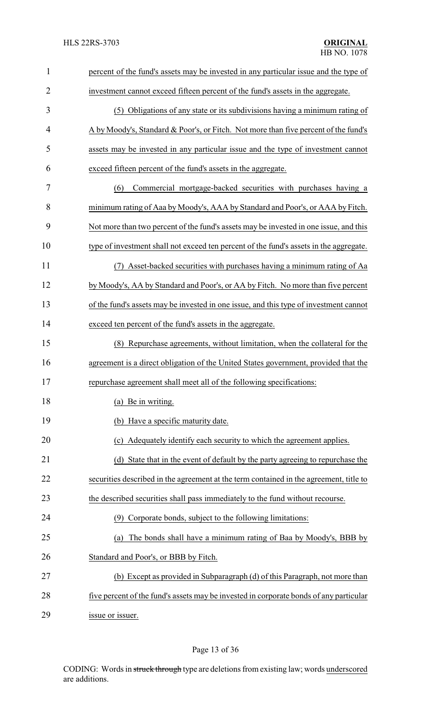| $\mathbf{1}$   | percent of the fund's assets may be invested in any particular issue and the type of   |
|----------------|----------------------------------------------------------------------------------------|
| $\overline{2}$ | investment cannot exceed fifteen percent of the fund's assets in the aggregate.        |
| 3              | (5) Obligations of any state or its subdivisions having a minimum rating of            |
| 4              | A by Moody's, Standard & Poor's, or Fitch. Not more than five percent of the fund's    |
| 5              | assets may be invested in any particular issue and the type of investment cannot       |
| 6              | exceed fifteen percent of the fund's assets in the aggregate.                          |
| 7              | (6)<br>Commercial mortgage-backed securities with purchases having a                   |
| 8              | minimum rating of Aaa by Moody's, AAA by Standard and Poor's, or AAA by Fitch.         |
| 9              | Not more than two percent of the fund's assets may be invested in one issue, and this  |
| 10             | type of investment shall not exceed ten percent of the fund's assets in the aggregate. |
| 11             | (7) Asset-backed securities with purchases having a minimum rating of Aa               |
| 12             | by Moody's, AA by Standard and Poor's, or AA by Fitch. No more than five percent       |
| 13             | of the fund's assets may be invested in one issue, and this type of investment cannot  |
| 14             | exceed ten percent of the fund's assets in the aggregate.                              |
| 15             | (8) Repurchase agreements, without limitation, when the collateral for the             |
| 16             | agreement is a direct obligation of the United States government, provided that the    |
| 17             | repurchase agreement shall meet all of the following specifications:                   |
| 18             | (a) Be in writing.                                                                     |
| 19             | (b) Have a specific maturity date.                                                     |
| 20             | (c) Adequately identify each security to which the agreement applies.                  |
| 21             | (d) State that in the event of default by the party agreeing to repurchase the         |
| 22             | securities described in the agreement at the term contained in the agreement, title to |
| 23             | the described securities shall pass immediately to the fund without recourse.          |
| 24             | (9) Corporate bonds, subject to the following limitations:                             |
| 25             | The bonds shall have a minimum rating of Baa by Moody's, BBB by<br>(a)                 |
| 26             | Standard and Poor's, or BBB by Fitch.                                                  |
| 27             | (b) Except as provided in Subparagraph (d) of this Paragraph, not more than            |
| 28             | five percent of the fund's assets may be invested in corporate bonds of any particular |
| 29             | issue or issuer.                                                                       |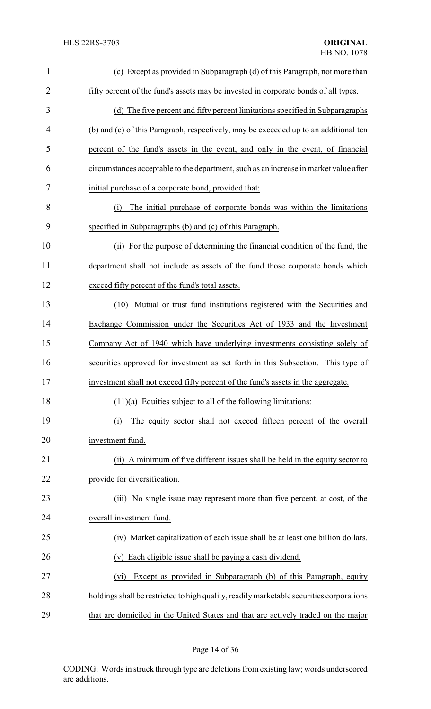| $\mathbf{1}$   | (c) Except as provided in Subparagraph (d) of this Paragraph, not more than              |
|----------------|------------------------------------------------------------------------------------------|
| $\overline{2}$ | fifty percent of the fund's assets may be invested in corporate bonds of all types.      |
| 3              | (d) The five percent and fifty percent limitations specified in Subparagraphs            |
| 4              | (b) and (c) of this Paragraph, respectively, may be exceeded up to an additional ten     |
| 5              | percent of the fund's assets in the event, and only in the event, of financial           |
| 6              | circumstances acceptable to the department, such as an increase in market value after    |
| 7              | initial purchase of a corporate bond, provided that:                                     |
| 8              | The initial purchase of corporate bonds was within the limitations<br>(i)                |
| 9              | specified in Subparagraphs (b) and (c) of this Paragraph.                                |
| 10             | (ii) For the purpose of determining the financial condition of the fund, the             |
| 11             | department shall not include as assets of the fund those corporate bonds which           |
| 12             | exceed fifty percent of the fund's total assets.                                         |
| 13             | Mutual or trust fund institutions registered with the Securities and<br>(10)             |
| 14             | Exchange Commission under the Securities Act of 1933 and the Investment                  |
| 15             | Company Act of 1940 which have underlying investments consisting solely of               |
| 16             | securities approved for investment as set forth in this Subsection. This type of         |
| 17             | investment shall not exceed fifty percent of the fund's assets in the aggregate.         |
| 18             | $(11)(a)$ Equities subject to all of the following limitations:                          |
| 19             | The equity sector shall not exceed fifteen percent of the overall<br>(i)                 |
| 20             | investment fund.                                                                         |
| 21             | A minimum of five different issues shall be held in the equity sector to<br>(ii)         |
| 22             | provide for diversification.                                                             |
| 23             | No single issue may represent more than five percent, at cost, of the<br>(iii)           |
| 24             | overall investment fund.                                                                 |
| 25             | (iv) Market capitalization of each issue shall be at least one billion dollars.          |
| 26             | Each eligible issue shall be paying a cash dividend.<br>(v)                              |
| 27             | Except as provided in Subparagraph (b) of this Paragraph, equity<br>(vi)                 |
| 28             | holdings shall be restricted to high quality, readily marketable securities corporations |
| 29             | that are domiciled in the United States and that are actively traded on the major        |

Page 14 of 36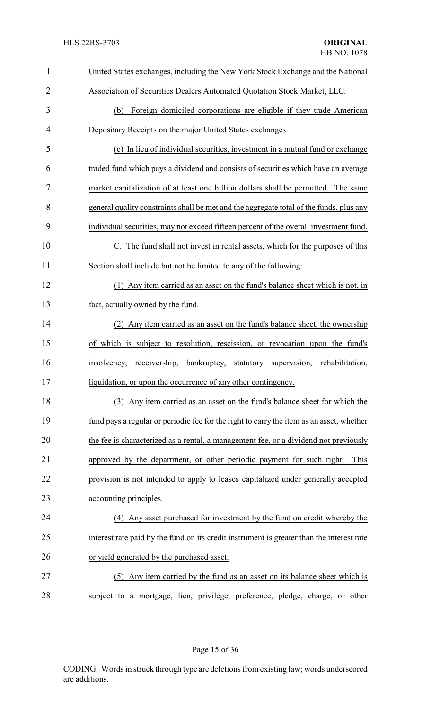| 1              | United States exchanges, including the New York Stock Exchange and the National           |
|----------------|-------------------------------------------------------------------------------------------|
| $\overline{2}$ | Association of Securities Dealers Automated Quotation Stock Market, LLC.                  |
| 3              | Foreign domiciled corporations are eligible if they trade American<br>(b)                 |
| 4              | Depositary Receipts on the major United States exchanges.                                 |
| 5              | (c) In lieu of individual securities, investment in a mutual fund or exchange             |
| 6              | traded fund which pays a dividend and consists of securities which have an average        |
| 7              | market capitalization of at least one billion dollars shall be permitted. The same        |
| 8              | general quality constraints shall be met and the aggregate total of the funds, plus any   |
| 9              | individual securities, may not exceed fifteen percent of the overall investment fund.     |
| 10             | C. The fund shall not invest in rental assets, which for the purposes of this             |
| 11             | Section shall include but not be limited to any of the following:                         |
| 12             | (1) Any item carried as an asset on the fund's balance sheet which is not, in             |
| 13             | fact, actually owned by the fund.                                                         |
| 14             | (2) Any item carried as an asset on the fund's balance sheet, the ownership               |
| 15             | of which is subject to resolution, rescission, or revocation upon the fund's              |
| 16             | receivership, bankruptcy, statutory supervision, rehabilitation,<br>insolvency,           |
| 17             | liquidation, or upon the occurrence of any other contingency.                             |
| 18             | (3) Any item carried as an asset on the fund's balance sheet for which the                |
| 19             | fund pays a regular or periodic fee for the right to carry the item as an asset, whether  |
| 20             | the fee is characterized as a rental, a management fee, or a dividend not previously      |
| 21             | approved by the department, or other periodic payment for such right.<br>This             |
| 22             | provision is not intended to apply to leases capitalized under generally accepted         |
| 23             | accounting principles.                                                                    |
| 24             | (4) Any asset purchased for investment by the fund on credit whereby the                  |
| 25             | interest rate paid by the fund on its credit instrument is greater than the interest rate |
| 26             | or yield generated by the purchased asset.                                                |
| 27             | (5) Any item carried by the fund as an asset on its balance sheet which is                |
| 28             | subject to a mortgage, lien, privilege, preference, pledge, charge, or other              |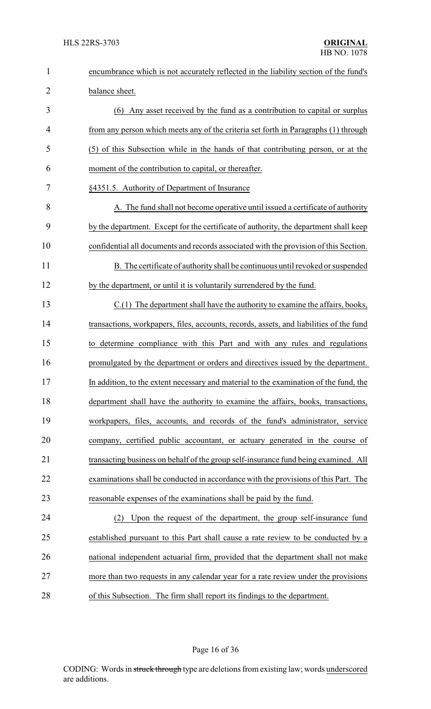| $\mathbf{1}$   | encumbrance which is not accurately reflected in the liability section of the fund's    |
|----------------|-----------------------------------------------------------------------------------------|
| $\overline{2}$ | balance sheet.                                                                          |
| 3              | (6) Any asset received by the fund as a contribution to capital or surplus              |
| 4              | from any person which meets any of the criteria set forth in Paragraphs (1) through     |
| 5              | (5) of this Subsection while in the hands of that contributing person, or at the        |
| 6              | moment of the contribution to capital, or thereafter.                                   |
| 7              | §4351.5. Authority of Department of Insurance                                           |
| 8              | A. The fund shall not become operative until issued a certificate of authority          |
| 9              | by the department. Except for the certificate of authority, the department shall keep   |
| 10             | confidential all documents and records associated with the provision of this Section.   |
| 11             | B. The certificate of authority shall be continuous until revoked or suspended          |
| 12             | by the department, or until it is voluntarily surrendered by the fund.                  |
| 13             | C.(1) The department shall have the authority to examine the affairs, books,            |
| 14             | transactions, workpapers, files, accounts, records, assets, and liabilities of the fund |
| 15             | to determine compliance with this Part and with any rules and regulations               |
| 16             | promulgated by the department or orders and directives issued by the department.        |
| 17             | In addition, to the extent necessary and material to the examination of the fund, the   |
| 18             | department shall have the authority to examine the affairs, books, transactions,        |
| 19             | workpapers, files, accounts, and records of the fund's administrator, service           |
| 20             | company, certified public accountant, or actuary generated in the course of             |
| 21             | transacting business on behalf of the group self-insurance fund being examined. All     |
| 22             | examinations shall be conducted in accordance with the provisions of this Part. The     |
| 23             | reasonable expenses of the examinations shall be paid by the fund.                      |
| 24             | Upon the request of the department, the group self-insurance fund<br>(2)                |
| 25             | established pursuant to this Part shall cause a rate review to be conducted by a        |
| 26             | national independent actuarial firm, provided that the department shall not make        |
| 27             | more than two requests in any calendar year for a rate review under the provisions      |
| 28             | of this Subsection. The firm shall report its findings to the department.               |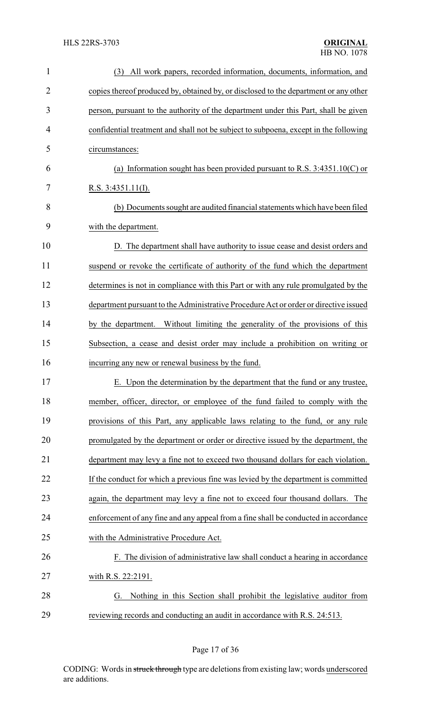| 1              | (3) All work papers, recorded information, documents, information, and               |
|----------------|--------------------------------------------------------------------------------------|
| $\overline{2}$ | copies thereof produced by, obtained by, or disclosed to the department or any other |
| 3              | person, pursuant to the authority of the department under this Part, shall be given  |
| 4              | confidential treatment and shall not be subject to subpoena, except in the following |
| 5              | circumstances:                                                                       |
| 6              | (a) Information sought has been provided pursuant to R.S. $3:4351.10(C)$ or          |
| 7              | R.S. $3:4351.11(I)$ .                                                                |
| 8              | (b) Documents sought are audited financial statements which have been filed          |
| 9              | with the department.                                                                 |
| 10             | D. The department shall have authority to issue cease and desist orders and          |
| 11             | suspend or revoke the certificate of authority of the fund which the department      |
| 12             | determines is not in compliance with this Part or with any rule promulgated by the   |
| 13             | department pursuant to the Administrative Procedure Act or order or directive issued |
| 14             | by the department. Without limiting the generality of the provisions of this         |
| 15             | Subsection, a cease and desist order may include a prohibition on writing or         |
| 16             | incurring any new or renewal business by the fund.                                   |
| 17             | E. Upon the determination by the department that the fund or any trustee,            |
| 18             | member, officer, director, or employee of the fund failed to comply with the         |
| 19             | provisions of this Part, any applicable laws relating to the fund, or any rule       |
| 20             | promulgated by the department or order or directive issued by the department, the    |
| 21             | department may levy a fine not to exceed two thousand dollars for each violation.    |
| 22             | If the conduct for which a previous fine was levied by the department is committed   |
| 23             | again, the department may levy a fine not to exceed four thousand dollars. The       |
| 24             | enforcement of any fine and any appeal from a fine shall be conducted in accordance  |
| 25             | with the Administrative Procedure Act.                                               |
| 26             | F. The division of administrative law shall conduct a hearing in accordance          |
| 27             | with R.S. 22:2191.                                                                   |
| 28             | Nothing in this Section shall prohibit the legislative auditor from<br>G.            |
| 29             | reviewing records and conducting an audit in accordance with R.S. 24:513.            |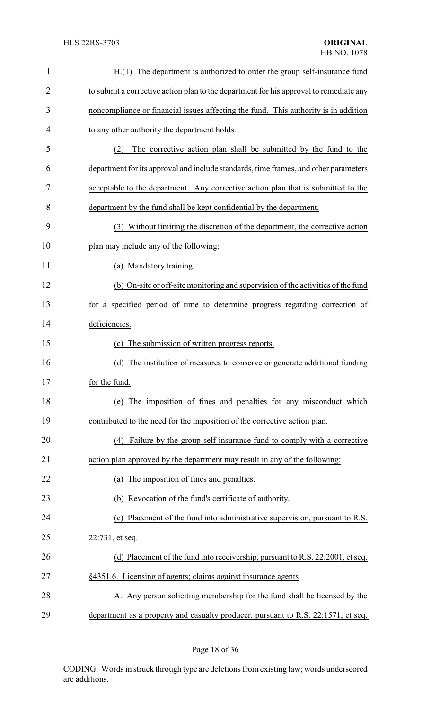| $\mathbf{1}$   | H.(1) The department is authorized to order the group self-insurance fund              |
|----------------|----------------------------------------------------------------------------------------|
| $\overline{2}$ | to submit a corrective action plan to the department for his approval to remediate any |
| 3              | noncompliance or financial issues affecting the fund. This authority is in addition    |
| 4              | to any other authority the department holds.                                           |
| 5              | The corrective action plan shall be submitted by the fund to the<br>(2)                |
| 6              | department for its approval and include standards, time frames, and other parameters   |
| 7              | acceptable to the department. Any corrective action plan that is submitted to the      |
| 8              | department by the fund shall be kept confidential by the department.                   |
| 9              | (3) Without limiting the discretion of the department, the corrective action           |
| 10             | plan may include any of the following:                                                 |
| 11             | (a) Mandatory training.                                                                |
| 12             | (b) On-site or off-site monitoring and supervision of the activities of the fund       |
| 13             | for a specified period of time to determine progress regarding correction of           |
| 14             | deficiencies.                                                                          |
| 15             | The submission of written progress reports.<br>(c)                                     |
| 16             | The institution of measures to conserve or generate additional funding<br>(d)          |
| 17             | for the fund.                                                                          |
| 18             | (e) The imposition of fines and penalties for any misconduct which                     |
| 19             | contributed to the need for the imposition of the corrective action plan.              |
| 20             | (4) Failure by the group self-insurance fund to comply with a corrective               |
| 21             | action plan approved by the department may result in any of the following:             |
| 22             | (a) The imposition of fines and penalties.                                             |
| 23             | (b) Revocation of the fund's certificate of authority.                                 |
| 24             | (c) Placement of the fund into administrative supervision, pursuant to R.S.            |
| 25             | 22:731, et seq.                                                                        |
| 26             | (d) Placement of the fund into receivership, pursuant to R.S. 22:2001, et seq.         |
| 27             | §4351.6. Licensing of agents; claims against insurance agents                          |
| 28             | A. Any person soliciting membership for the fund shall be licensed by the              |
| 29             | department as a property and casualty producer, pursuant to R.S. 22:1571, et seq.      |

Page 18 of 36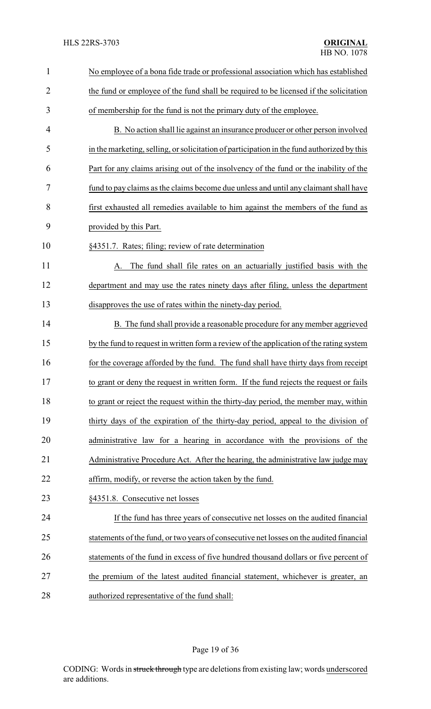| $\mathbf{1}$   | No employee of a bona fide trade or professional association which has established         |
|----------------|--------------------------------------------------------------------------------------------|
| $\overline{2}$ | the fund or employee of the fund shall be required to be licensed if the solicitation      |
| 3              | of membership for the fund is not the primary duty of the employee.                        |
| 4              | B. No action shall lie against an insurance producer or other person involved              |
| 5              | in the marketing, selling, or solicitation of participation in the fund authorized by this |
| 6              | Part for any claims arising out of the insolvency of the fund or the inability of the      |
| 7              | fund to pay claims as the claims become due unless and until any claimant shall have       |
| 8              | first exhausted all remedies available to him against the members of the fund as           |
| 9              | provided by this Part.                                                                     |
| 10             | §4351.7. Rates; filing; review of rate determination                                       |
| 11             | The fund shall file rates on an actuarially justified basis with the<br>А.                 |
| 12             | department and may use the rates ninety days after filing, unless the department           |
| 13             | disapproves the use of rates within the ninety-day period.                                 |
| 14             | B. The fund shall provide a reasonable procedure for any member aggrieved                  |
| 15             | by the fund to request in written form a review of the application of the rating system    |
| 16             | for the coverage afforded by the fund. The fund shall have thirty days from receipt        |
| 17             | to grant or deny the request in written form. If the fund rejects the request or fails     |
| 18             | to grant or reject the request within the thirty-day period, the member may, within        |
| 19             | thirty days of the expiration of the thirty-day period, appeal to the division of          |
| 20             | administrative law for a hearing in accordance with the provisions of the                  |
| 21             | Administrative Procedure Act. After the hearing, the administrative law judge may          |
| 22             | affirm, modify, or reverse the action taken by the fund.                                   |
| 23             | §4351.8. Consecutive net losses                                                            |
| 24             | If the fund has three years of consecutive net losses on the audited financial             |
| 25             | statements of the fund, or two years of consecutive net losses on the audited financial    |
| 26             | statements of the fund in excess of five hundred thousand dollars or five percent of       |
| 27             | the premium of the latest audited financial statement, whichever is greater, an            |
| 28             | authorized representative of the fund shall:                                               |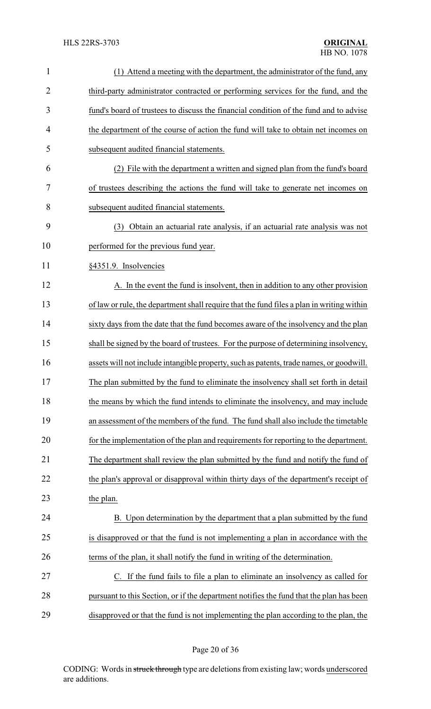| $\mathbf{1}$   | (1) Attend a meeting with the department, the administrator of the fund, any              |
|----------------|-------------------------------------------------------------------------------------------|
| $\overline{2}$ | third-party administrator contracted or performing services for the fund, and the         |
| 3              | fund's board of trustees to discuss the financial condition of the fund and to advise     |
| 4              | the department of the course of action the fund will take to obtain net incomes on        |
| 5              | subsequent audited financial statements.                                                  |
| 6              | (2) File with the department a written and signed plan from the fund's board              |
| 7              | of trustees describing the actions the fund will take to generate net incomes on          |
| 8              | subsequent audited financial statements.                                                  |
| 9              | (3) Obtain an actuarial rate analysis, if an actuarial rate analysis was not              |
| 10             | performed for the previous fund year.                                                     |
| 11             | §4351.9. Insolvencies                                                                     |
| 12             | A. In the event the fund is insolvent, then in addition to any other provision            |
| 13             | of law or rule, the department shall require that the fund files a plan in writing within |
| 14             | sixty days from the date that the fund becomes aware of the insolvency and the plan       |
| 15             | shall be signed by the board of trustees. For the purpose of determining insolvency,      |
| 16             | assets will not include intangible property, such as patents, trade names, or goodwill.   |
| 17             | The plan submitted by the fund to eliminate the insolvency shall set forth in detail      |
| 18             | the means by which the fund intends to eliminate the insolvency, and may include          |
| 19             | an assessment of the members of the fund. The fund shall also include the timetable       |
| 20             | for the implementation of the plan and requirements for reporting to the department.      |
| 21             | The department shall review the plan submitted by the fund and notify the fund of         |
| 22             | the plan's approval or disapproval within thirty days of the department's receipt of      |
| 23             | the plan.                                                                                 |
| 24             | B. Upon determination by the department that a plan submitted by the fund                 |
| 25             | is disapproved or that the fund is not implementing a plan in accordance with the         |
| 26             | terms of the plan, it shall notify the fund in writing of the determination.              |
| 27             | C. If the fund fails to file a plan to eliminate an insolvency as called for              |
| 28             | pursuant to this Section, or if the department notifies the fund that the plan has been   |
| 29             | disapproved or that the fund is not implementing the plan according to the plan, the      |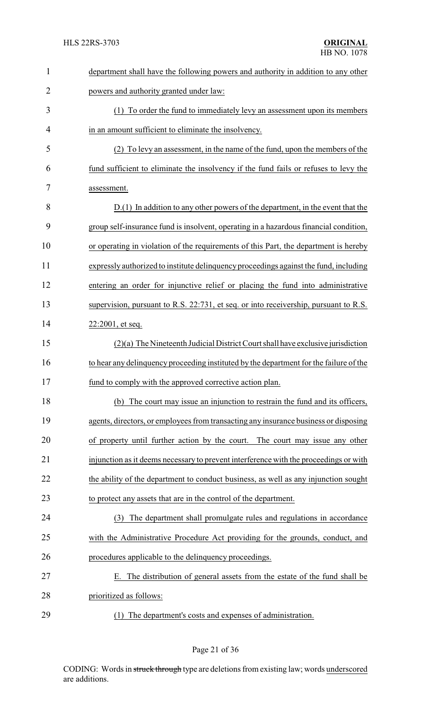| $\mathbf{1}$   | department shall have the following powers and authority in addition to any other      |
|----------------|----------------------------------------------------------------------------------------|
| $\overline{2}$ | powers and authority granted under law:                                                |
| 3              | (1) To order the fund to immediately levy an assessment upon its members               |
| 4              | in an amount sufficient to eliminate the insolvency.                                   |
| 5              | (2) To levy an assessment, in the name of the fund, upon the members of the            |
| 6              | fund sufficient to eliminate the insolvency if the fund fails or refuses to levy the   |
| 7              | assessment.                                                                            |
| 8              | $D(1)$ In addition to any other powers of the department, in the event that the        |
| 9              | group self-insurance fund is insolvent, operating in a hazardous financial condition,  |
| 10             | or operating in violation of the requirements of this Part, the department is hereby   |
| 11             | expressly authorized to institute delinquency proceedings against the fund, including  |
| 12             | entering an order for injunctive relief or placing the fund into administrative        |
| 13             | supervision, pursuant to R.S. 22:731, et seq. or into receivership, pursuant to R.S.   |
| 14             | 22:2001, et seq.                                                                       |
| 15             | $(2)(a)$ The Nineteenth Judicial District Court shall have exclusive jurisdiction      |
| 16             | to hear any delinquency proceeding instituted by the department for the failure of the |
| 17             | fund to comply with the approved corrective action plan                                |
| 18             | (b) The court may issue an injunction to restrain the fund and its officers,           |
| 19             | agents, directors, or employees from transacting any insurance business or disposing   |
| 20             | of property until further action by the court. The court may issue any other           |
| 21             | injunction as it deems necessary to prevent interference with the proceedings or with  |
| 22             | the ability of the department to conduct business, as well as any injunction sought    |
| 23             | to protect any assets that are in the control of the department.                       |
| 24             | (3) The department shall promulgate rules and regulations in accordance                |
| 25             | with the Administrative Procedure Act providing for the grounds, conduct, and          |
| 26             | procedures applicable to the delinquency proceedings.                                  |
| 27             | The distribution of general assets from the estate of the fund shall be<br>Е.          |
| 28             | prioritized as follows:                                                                |
| 29             | (1) The department's costs and expenses of administration.                             |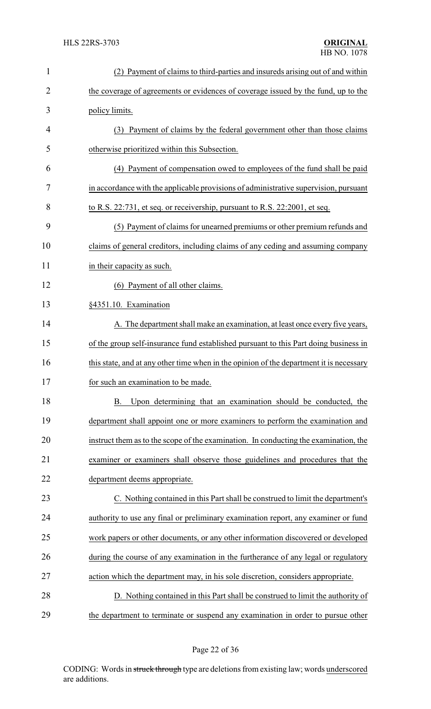| $\mathbf{1}$   | (2) Payment of claims to third-parties and insureds arising out of and within           |
|----------------|-----------------------------------------------------------------------------------------|
| $\overline{2}$ | the coverage of agreements or evidences of coverage issued by the fund, up to the       |
| 3              | policy limits.                                                                          |
| 4              | (3) Payment of claims by the federal government other than those claims                 |
| 5              | otherwise prioritized within this Subsection.                                           |
| 6              | (4) Payment of compensation owed to employees of the fund shall be paid                 |
| 7              | in accordance with the applicable provisions of administrative supervision, pursuant    |
| 8              | to R.S. 22:731, et seq. or receivership, pursuant to R.S. 22:2001, et seq.              |
| 9              | (5) Payment of claims for unearned premiums or other premium refunds and                |
| 10             | claims of general creditors, including claims of any ceding and assuming company        |
| 11             | in their capacity as such.                                                              |
| 12             | (6) Payment of all other claims.                                                        |
| 13             | §4351.10. Examination                                                                   |
| 14             | A. The department shall make an examination, at least once every five years,            |
| 15             | of the group self-insurance fund established pursuant to this Part doing business in    |
| 16             | this state, and at any other time when in the opinion of the department it is necessary |
| 17             | for such an examination to be made.                                                     |
| 18             | Upon determining that an examination should be conducted, the<br><b>B.</b>              |
| 19             | department shall appoint one or more examiners to perform the examination and           |
| 20             | instruct them as to the scope of the examination. In conducting the examination, the    |
| 21             | examiner or examiners shall observe those guidelines and procedures that the            |
| 22             | department deems appropriate.                                                           |
| 23             | C. Nothing contained in this Part shall be construed to limit the department's          |
| 24             | authority to use any final or preliminary examination report, any examiner or fund      |
| 25             | work papers or other documents, or any other information discovered or developed        |
| 26             | during the course of any examination in the furtherance of any legal or regulatory      |
| 27             | action which the department may, in his sole discretion, considers appropriate.         |
| 28             | D. Nothing contained in this Part shall be construed to limit the authority of          |
| 29             | the department to terminate or suspend any examination in order to pursue other         |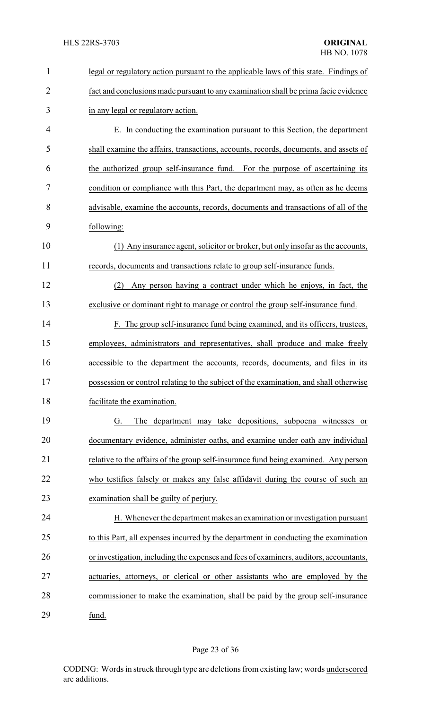| $\mathbf{1}$   | legal or regulatory action pursuant to the applicable laws of this state. Findings of  |
|----------------|----------------------------------------------------------------------------------------|
| $\overline{2}$ | fact and conclusions made pursuant to any examination shall be prima facie evidence    |
| 3              | in any legal or regulatory action.                                                     |
| 4              | E. In conducting the examination pursuant to this Section, the department              |
| 5              | shall examine the affairs, transactions, accounts, records, documents, and assets of   |
| 6              | the authorized group self-insurance fund. For the purpose of ascertaining its          |
| 7              | condition or compliance with this Part, the department may, as often as he deems       |
| 8              | advisable, examine the accounts, records, documents and transactions of all of the     |
| 9              | following:                                                                             |
| 10             | (1) Any insurance agent, solicitor or broker, but only insofar as the accounts,        |
| 11             | records, documents and transactions relate to group self-insurance funds.              |
| 12             | Any person having a contract under which he enjoys, in fact, the<br>(2)                |
| 13             | exclusive or dominant right to manage or control the group self-insurance fund.        |
| 14             | F. The group self-insurance fund being examined, and its officers, trustees,           |
| 15             | employees, administrators and representatives, shall produce and make freely           |
| 16             | accessible to the department the accounts, records, documents, and files in its        |
| 17             | possession or control relating to the subject of the examination, and shall otherwise  |
| 18             | facilitate the examination.                                                            |
| 19             | The department may take depositions, subpoena witnesses or<br>G.                       |
| 20             | documentary evidence, administer oaths, and examine under oath any individual          |
| 21             | relative to the affairs of the group self-insurance fund being examined. Any person    |
| 22             | who testifies falsely or makes any false affidavit during the course of such an        |
| 23             | examination shall be guilty of perjury.                                                |
| 24             | H. Whenever the department makes an examination or investigation pursuant              |
| 25             | to this Part, all expenses incurred by the department in conducting the examination    |
| 26             | or investigation, including the expenses and fees of examiners, auditors, accountants, |
| 27             | actuaries, attorneys, or clerical or other assistants who are employed by the          |
| 28             | commissioner to make the examination, shall be paid by the group self-insurance        |
| 29             | fund.                                                                                  |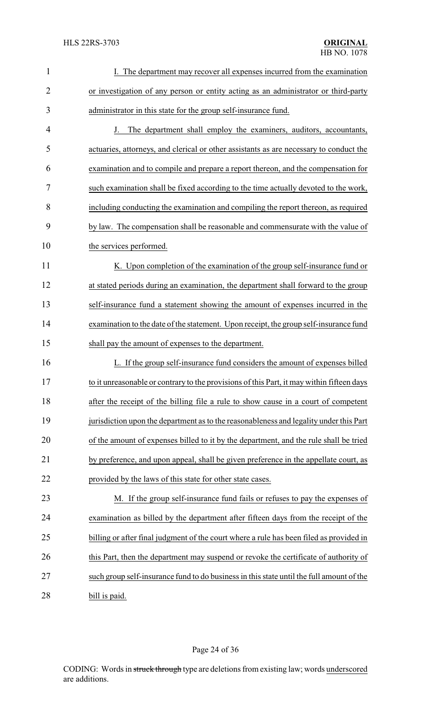| $\mathbf{1}$   | I. The department may recover all expenses incurred from the examination                  |
|----------------|-------------------------------------------------------------------------------------------|
| $\overline{2}$ | or investigation of any person or entity acting as an administrator or third-party        |
| 3              | administrator in this state for the group self-insurance fund.                            |
| 4              | J. The department shall employ the examiners, auditors, accountants,                      |
| 5              | actuaries, attorneys, and clerical or other assistants as are necessary to conduct the    |
| 6              | examination and to compile and prepare a report thereon, and the compensation for         |
| 7              | such examination shall be fixed according to the time actually devoted to the work,       |
| 8              | including conducting the examination and compiling the report thereon, as required        |
| 9              | by law. The compensation shall be reasonable and commensurate with the value of           |
| 10             | the services performed.                                                                   |
| 11             | K. Upon completion of the examination of the group self-insurance fund or                 |
| 12             | at stated periods during an examination, the department shall forward to the group        |
| 13             | self-insurance fund a statement showing the amount of expenses incurred in the            |
| 14             | examination to the date of the statement. Upon receipt, the group self-insurance fund     |
| 15             | shall pay the amount of expenses to the department.                                       |
| 16             | L. If the group self-insurance fund considers the amount of expenses billed               |
| 17             | to it unreasonable or contrary to the provisions of this Part, it may within fifteen days |
| 18             | after the receipt of the billing file a rule to show cause in a court of competent        |
| 19             | jurisdiction upon the department as to the reasonableness and legality under this Part    |
| 20             | of the amount of expenses billed to it by the department, and the rule shall be tried     |
| 21             | by preference, and upon appeal, shall be given preference in the appellate court, as      |
| 22             | provided by the laws of this state for other state cases.                                 |
| 23             | M. If the group self-insurance fund fails or refuses to pay the expenses of               |
| 24             | examination as billed by the department after fifteen days from the receipt of the        |
| 25             | billing or after final judgment of the court where a rule has been filed as provided in   |
| 26             | this Part, then the department may suspend or revoke the certificate of authority of      |
| 27             | such group self-insurance fund to do business in this state until the full amount of the  |
| 28             | bill is paid.                                                                             |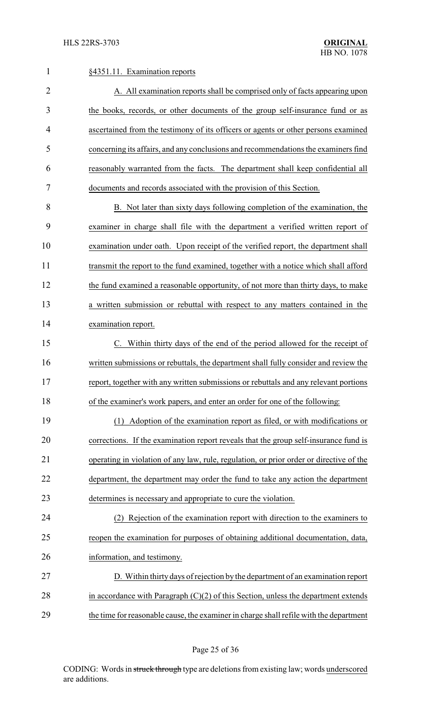| $\mathbf{1}$   | §4351.11. Examination reports                                                           |  |  |
|----------------|-----------------------------------------------------------------------------------------|--|--|
| $\overline{2}$ | A. All examination reports shall be comprised only of facts appearing upon              |  |  |
| 3              | the books, records, or other documents of the group self-insurance fund or as           |  |  |
| $\overline{4}$ | ascertained from the testimony of its officers or agents or other persons examined      |  |  |
| 5              | concerning its affairs, and any conclusions and recommendations the examiners find      |  |  |
| 6              | reasonably warranted from the facts. The department shall keep confidential all         |  |  |
| 7              | documents and records associated with the provision of this Section.                    |  |  |
| 8              | B. Not later than sixty days following completion of the examination, the               |  |  |
| 9              | examiner in charge shall file with the department a verified written report of          |  |  |
| 10             | examination under oath. Upon receipt of the verified report, the department shall       |  |  |
| 11             | transmit the report to the fund examined, together with a notice which shall afford     |  |  |
| 12             | the fund examined a reasonable opportunity, of not more than thirty days, to make       |  |  |
| 13             | a written submission or rebuttal with respect to any matters contained in the           |  |  |
| 14             | examination report.                                                                     |  |  |
| 15             | Within thirty days of the end of the period allowed for the receipt of                  |  |  |
| 16             | written submissions or rebuttals, the department shall fully consider and review the    |  |  |
| 17             | report, together with any written submissions or rebuttals and any relevant portions    |  |  |
| 18             | of the examiner's work papers, and enter an order for one of the following:             |  |  |
| 19             | (1) Adoption of the examination report as filed, or with modifications or               |  |  |
| 20             | corrections. If the examination report reveals that the group self-insurance fund is    |  |  |
| 21             | operating in violation of any law, rule, regulation, or prior order or directive of the |  |  |
| 22             | department, the department may order the fund to take any action the department         |  |  |
| 23             | determines is necessary and appropriate to cure the violation.                          |  |  |
| 24             | (2) Rejection of the examination report with direction to the examiners to              |  |  |
| 25             | reopen the examination for purposes of obtaining additional documentation, data,        |  |  |
| 26             | information, and testimony.                                                             |  |  |
| 27             | D. Within thirty days of rejection by the department of an examination report           |  |  |
| 28             | in accordance with Paragraph $(C)(2)$ of this Section, unless the department extends    |  |  |
| 29             | the time for reasonable cause, the examiner in charge shall refile with the department  |  |  |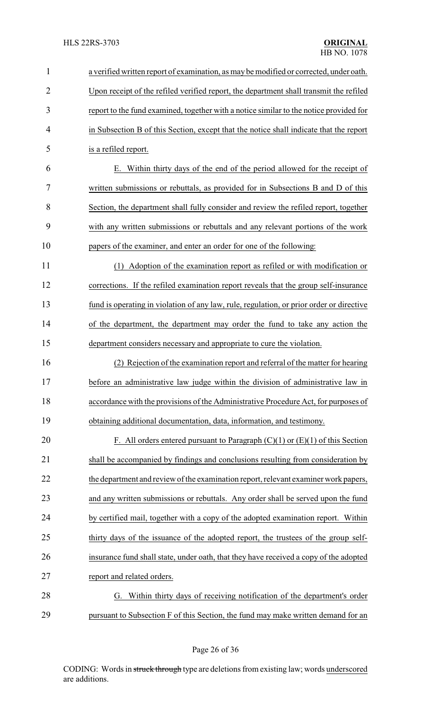| $\mathbf{1}$   | a verified written report of examination, as may be modified or corrected, under oath.   |  |
|----------------|------------------------------------------------------------------------------------------|--|
| $\overline{2}$ | Upon receipt of the refiled verified report, the department shall transmit the refiled   |  |
| 3              | report to the fund examined, together with a notice similar to the notice provided for   |  |
| $\overline{4}$ | in Subsection B of this Section, except that the notice shall indicate that the report   |  |
| 5              | is a refiled report.                                                                     |  |
| 6              | E. Within thirty days of the end of the period allowed for the receipt of                |  |
| 7              | written submissions or rebuttals, as provided for in Subsections B and D of this         |  |
| 8              | Section, the department shall fully consider and review the refiled report, together     |  |
| 9              | with any written submissions or rebuttals and any relevant portions of the work          |  |
| 10             | papers of the examiner, and enter an order for one of the following:                     |  |
| 11             | (1) Adoption of the examination report as refiled or with modification or                |  |
| 12             | corrections. If the refiled examination report reveals that the group self-insurance     |  |
| 13             | fund is operating in violation of any law, rule, regulation, or prior order or directive |  |
| 14             | of the department, the department may order the fund to take any action the              |  |
| 15             | department considers necessary and appropriate to cure the violation.                    |  |
| 16             | (2) Rejection of the examination report and referral of the matter for hearing           |  |
| 17             | before an administrative law judge within the division of administrative law in          |  |
| 18             | accordance with the provisions of the Administrative Procedure Act, for purposes of      |  |
| 19             | obtaining additional documentation, data, information, and testimony.                    |  |
| 20             | F. All orders entered pursuant to Paragraph $(C)(1)$ or $(E)(1)$ of this Section         |  |
| 21             | shall be accompanied by findings and conclusions resulting from consideration by         |  |
| 22             | the department and review of the examination report, relevant examiner work papers,      |  |
| 23             | and any written submissions or rebuttals. Any order shall be served upon the fund        |  |
| 24             | by certified mail, together with a copy of the adopted examination report. Within        |  |
| 25             | thirty days of the issuance of the adopted report, the trustees of the group self-       |  |
| 26             | insurance fund shall state, under oath, that they have received a copy of the adopted    |  |
| 27             | report and related orders.                                                               |  |
| 28             | G. Within thirty days of receiving notification of the department's order                |  |
| 29             | pursuant to Subsection F of this Section, the fund may make written demand for an        |  |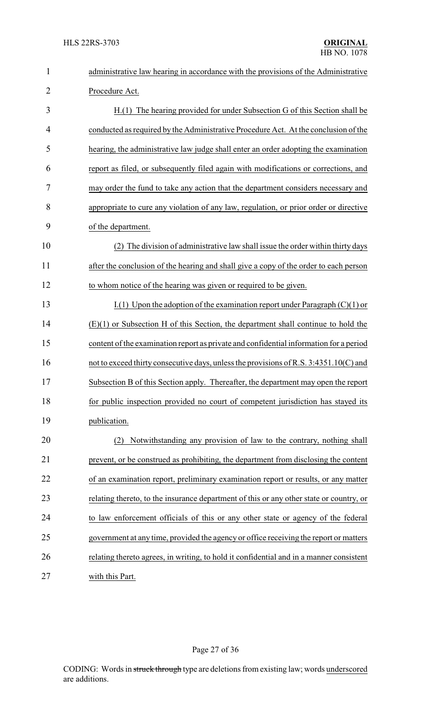| $\mathbf{1}$   | administrative law hearing in accordance with the provisions of the Administrative      |  |  |
|----------------|-----------------------------------------------------------------------------------------|--|--|
| $\overline{2}$ | Procedure Act.                                                                          |  |  |
| 3              | H.(1) The hearing provided for under Subsection G of this Section shall be              |  |  |
| 4              | conducted as required by the Administrative Procedure Act. At the conclusion of the     |  |  |
| 5              | hearing, the administrative law judge shall enter an order adopting the examination     |  |  |
| 6              | report as filed, or subsequently filed again with modifications or corrections, and     |  |  |
| 7              | may order the fund to take any action that the department considers necessary and       |  |  |
| 8              | appropriate to cure any violation of any law, regulation, or prior order or directive   |  |  |
| 9              | of the department.                                                                      |  |  |
| 10             | The division of administrative law shall issue the order within thirty days             |  |  |
| 11             | after the conclusion of the hearing and shall give a copy of the order to each person   |  |  |
| 12             | to whom notice of the hearing was given or required to be given.                        |  |  |
| 13             | I.(1) Upon the adoption of the examination report under Paragraph $(C)(1)$ or           |  |  |
| 14             | $(E)(1)$ or Subsection H of this Section, the department shall continue to hold the     |  |  |
| 15             | content of the examination report as private and confidential information for a period  |  |  |
| 16             | not to exceed thirty consecutive days, unless the provisions of R.S. 3:4351.10(C) and   |  |  |
| 17             | Subsection B of this Section apply. Thereafter, the department may open the report      |  |  |
| 18             | for public inspection provided no court of competent jurisdiction has stayed its        |  |  |
| 19             | publication.                                                                            |  |  |
| 20             | Notwithstanding any provision of law to the contrary, nothing shall<br>(2)              |  |  |
| 21             | prevent, or be construed as prohibiting, the department from disclosing the content     |  |  |
| 22             | of an examination report, preliminary examination report or results, or any matter      |  |  |
| 23             | relating thereto, to the insurance department of this or any other state or country, or |  |  |
| 24             | to law enforcement officials of this or any other state or agency of the federal        |  |  |
| 25             | government at any time, provided the agency or office receiving the report or matters   |  |  |
| 26             | relating thereto agrees, in writing, to hold it confidential and in a manner consistent |  |  |
| 27             | with this Part.                                                                         |  |  |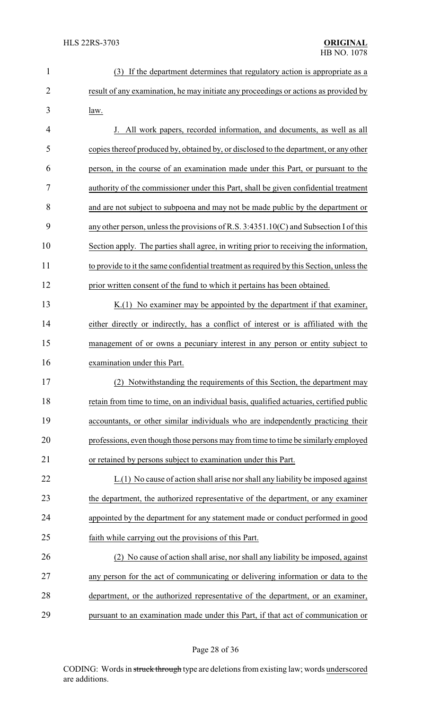| $\mathbf{1}$   | (3) If the department determines that regulatory action is appropriate as a              |  |  |
|----------------|------------------------------------------------------------------------------------------|--|--|
| $\overline{2}$ | result of any examination, he may initiate any proceedings or actions as provided by     |  |  |
| 3              | law.                                                                                     |  |  |
| 4              | J. All work papers, recorded information, and documents, as well as all                  |  |  |
| 5              | copies thereof produced by, obtained by, or disclosed to the department, or any other    |  |  |
| 6              | person, in the course of an examination made under this Part, or pursuant to the         |  |  |
| 7              | authority of the commissioner under this Part, shall be given confidential treatment     |  |  |
| 8              | and are not subject to subpoena and may not be made public by the department or          |  |  |
| 9              | any other person, unless the provisions of R.S. 3:4351.10(C) and Subsection I of this    |  |  |
| 10             | Section apply. The parties shall agree, in writing prior to receiving the information,   |  |  |
| 11             | to provide to it the same confidential treatment as required by this Section, unless the |  |  |
| 12             | prior written consent of the fund to which it pertains has been obtained.                |  |  |
| 13             | $K(1)$ No examiner may be appointed by the department if that examiner,                  |  |  |
| 14             | either directly or indirectly, has a conflict of interest or is affiliated with the      |  |  |
| 15             | management of or owns a pecuniary interest in any person or entity subject to            |  |  |
| 16             | examination under this Part.                                                             |  |  |
| 17             | (2) Notwithstanding the requirements of this Section, the department may                 |  |  |
| 18             | retain from time to time, on an individual basis, qualified actuaries, certified public  |  |  |
| 19             | accountants, or other similar individuals who are independently practicing their         |  |  |
| 20             | professions, even though those persons may from time to time be similarly employed       |  |  |
| 21             | or retained by persons subject to examination under this Part.                           |  |  |
| 22             | L.(1) No cause of action shall arise nor shall any liability be imposed against          |  |  |
| 23             | the department, the authorized representative of the department, or any examiner         |  |  |
| 24             | appointed by the department for any statement made or conduct performed in good          |  |  |
| 25             | faith while carrying out the provisions of this Part.                                    |  |  |
| 26             | (2) No cause of action shall arise, nor shall any liability be imposed, against          |  |  |
| 27             | any person for the act of communicating or delivering information or data to the         |  |  |
| 28             | department, or the authorized representative of the department, or an examiner,          |  |  |
| 29             | pursuant to an examination made under this Part, if that act of communication or         |  |  |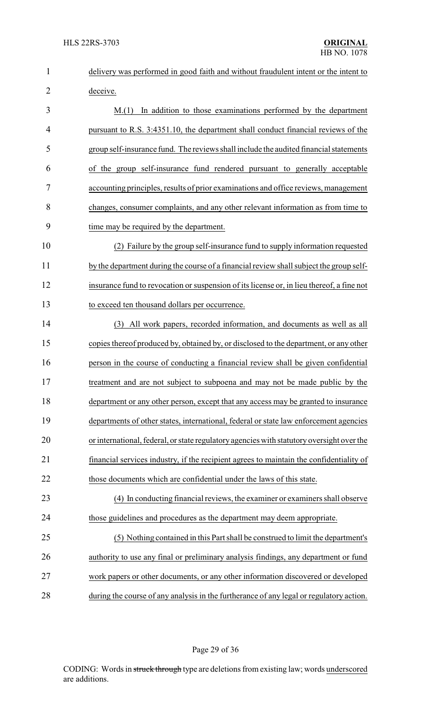| $\mathbf{1}$   | delivery was performed in good faith and without fraudulent intent or the intent to       |  |  |
|----------------|-------------------------------------------------------------------------------------------|--|--|
| $\overline{2}$ | deceive.                                                                                  |  |  |
| 3              | In addition to those examinations performed by the department<br>M(1)                     |  |  |
| 4              | pursuant to R.S. 3:4351.10, the department shall conduct financial reviews of the         |  |  |
| 5              | group self-insurance fund. The reviews shall include the audited financial statements     |  |  |
| 6              | of the group self-insurance fund rendered pursuant to generally acceptable                |  |  |
| $\tau$         | accounting principles, results of prior examinations and office reviews, management       |  |  |
| 8              | changes, consumer complaints, and any other relevant information as from time to          |  |  |
| 9              | time may be required by the department.                                                   |  |  |
| 10             | (2) Failure by the group self-insurance fund to supply information requested              |  |  |
| 11             | by the department during the course of a financial review shall subject the group self-   |  |  |
| 12             | insurance fund to revocation or suspension of its license or, in lieu thereof, a fine not |  |  |
| 13             | to exceed ten thousand dollars per occurrence.                                            |  |  |
| 14             | (3) All work papers, recorded information, and documents as well as all                   |  |  |
| 15             | copies thereof produced by, obtained by, or disclosed to the department, or any other     |  |  |
| 16             | person in the course of conducting a financial review shall be given confidential         |  |  |
| 17             | treatment and are not subject to subpoena and may not be made public by the               |  |  |
| 18             | department or any other person, except that any access may be granted to insurance        |  |  |
| 19             | departments of other states, international, federal or state law enforcement agencies     |  |  |
| 20             | or international, federal, or state regulatory agencies with statutory oversight over the |  |  |
| 21             | financial services industry, if the recipient agrees to maintain the confidentiality of   |  |  |
| 22             | those documents which are confidential under the laws of this state.                      |  |  |
| 23             | (4) In conducting financial reviews, the examiner or examiners shall observe              |  |  |
| 24             | those guidelines and procedures as the department may deem appropriate.                   |  |  |
| 25             | (5) Nothing contained in this Part shall be construed to limit the department's           |  |  |
| 26             | authority to use any final or preliminary analysis findings, any department or fund       |  |  |
| 27             | work papers or other documents, or any other information discovered or developed          |  |  |
| 28             | during the course of any analysis in the furtherance of any legal or regulatory action.   |  |  |

Page 29 of 36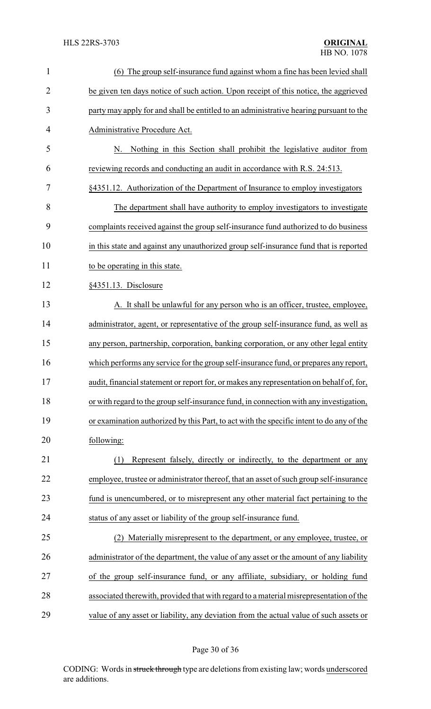| $\mathbf{1}$   | (6) The group self-insurance fund against whom a fine has been levied shall              |  |  |
|----------------|------------------------------------------------------------------------------------------|--|--|
| $\overline{2}$ | be given ten days notice of such action. Upon receipt of this notice, the aggrieved      |  |  |
| 3              | party may apply for and shall be entitled to an administrative hearing pursuant to the   |  |  |
| 4              | Administrative Procedure Act.                                                            |  |  |
| 5              | Nothing in this Section shall prohibit the legislative auditor from<br>N.                |  |  |
| 6              | reviewing records and conducting an audit in accordance with R.S. 24:513.                |  |  |
| 7              | §4351.12. Authorization of the Department of Insurance to employ investigators           |  |  |
| 8              | The department shall have authority to employ investigators to investigate               |  |  |
| 9              | complaints received against the group self-insurance fund authorized to do business      |  |  |
| 10             | in this state and against any unauthorized group self-insurance fund that is reported    |  |  |
| 11             | to be operating in this state.                                                           |  |  |
| 12             | §4351.13. Disclosure                                                                     |  |  |
| 13             | A. It shall be unlawful for any person who is an officer, trustee, employee,             |  |  |
| 14             | administrator, agent, or representative of the group self-insurance fund, as well as     |  |  |
| 15             | any person, partnership, corporation, banking corporation, or any other legal entity     |  |  |
| 16             | which performs any service for the group self-insurance fund, or prepares any report,    |  |  |
| 17             | audit, financial statement or report for, or makes any representation on behalf of, for, |  |  |
| 18             | or with regard to the group self-insurance fund, in connection with any investigation,   |  |  |
| 19             | or examination authorized by this Part, to act with the specific intent to do any of the |  |  |
| 20             | following:                                                                               |  |  |
| 21             | Represent falsely, directly or indirectly, to the department or any<br>(1)               |  |  |
| 22             | employee, trustee or administrator thereof, that an asset of such group self-insurance   |  |  |
| 23             | fund is unencumbered, or to misrepresent any other material fact pertaining to the       |  |  |
| 24             | status of any asset or liability of the group self-insurance fund.                       |  |  |
| 25             | (2) Materially misrepresent to the department, or any employee, trustee, or              |  |  |
| 26             | administrator of the department, the value of any asset or the amount of any liability   |  |  |
| 27             | of the group self-insurance fund, or any affiliate, subsidiary, or holding fund          |  |  |
| 28             | associated therewith, provided that with regard to a material misrepresentation of the   |  |  |
| 29             | value of any asset or liability, any deviation from the actual value of such assets or   |  |  |

# Page 30 of 36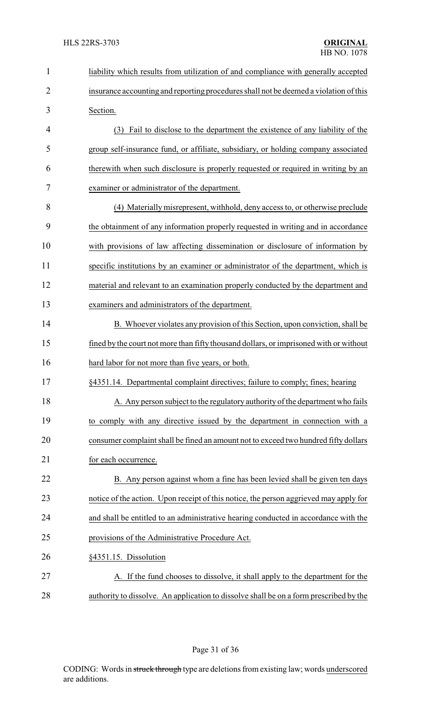| $\mathbf{1}$   | liability which results from utilization of and compliance with generally accepted     |  |
|----------------|----------------------------------------------------------------------------------------|--|
| $\overline{2}$ | insurance accounting and reporting procedures shall not be deemed a violation of this  |  |
| 3              | Section.                                                                               |  |
| 4              | (3) Fail to disclose to the department the existence of any liability of the           |  |
| 5              | group self-insurance fund, or affiliate, subsidiary, or holding company associated     |  |
| 6              | therewith when such disclosure is properly requested or required in writing by an      |  |
| 7              | examiner or administrator of the department.                                           |  |
| 8              | (4) Materially misrepresent, withhold, deny access to, or otherwise preclude           |  |
| 9              | the obtainment of any information properly requested in writing and in accordance      |  |
| 10             | with provisions of law affecting dissemination or disclosure of information by         |  |
| 11             | specific institutions by an examiner or administrator of the department, which is      |  |
| 12             | material and relevant to an examination properly conducted by the department and       |  |
| 13             | examiners and administrators of the department.                                        |  |
| 14             | B. Whoever violates any provision of this Section, upon conviction, shall be           |  |
| 15             | fined by the court not more than fifty thousand dollars, or imprisoned with or without |  |
| 16             | hard labor for not more than five years, or both.                                      |  |
| 17             | §4351.14. Departmental complaint directives; failure to comply; fines; hearing         |  |
| 18             | A. Any person subject to the regulatory authority of the department who fails          |  |
| 19             | to comply with any directive issued by the department in connection with a             |  |
| 20             | consumer complaint shall be fined an amount not to exceed two hundred fifty dollars    |  |
| 21             | for each occurrence.                                                                   |  |
| 22             | B. Any person against whom a fine has been levied shall be given ten days              |  |
| 23             | notice of the action. Upon receipt of this notice, the person aggrieved may apply for  |  |
| 24             | and shall be entitled to an administrative hearing conducted in accordance with the    |  |
| 25             | provisions of the Administrative Procedure Act.                                        |  |
| 26             | §4351.15. Dissolution                                                                  |  |
| 27             | A. If the fund chooses to dissolve, it shall apply to the department for the           |  |
| 28             | authority to dissolve. An application to dissolve shall be on a form prescribed by the |  |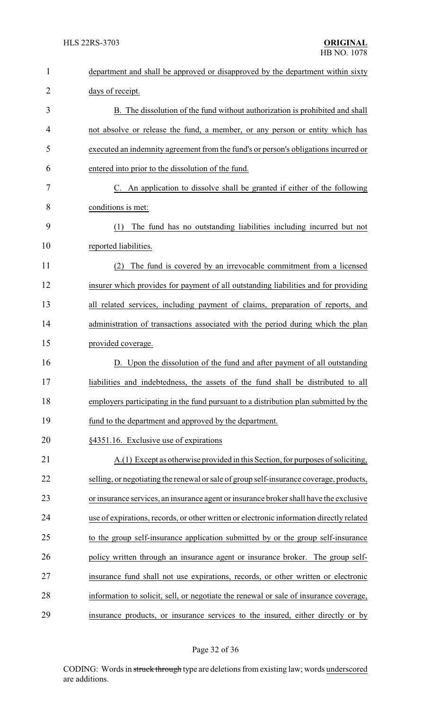| $\mathbf{1}$   | department and shall be approved or disapproved by the department within sixty           |  |  |
|----------------|------------------------------------------------------------------------------------------|--|--|
| $\overline{2}$ | days of receipt.                                                                         |  |  |
| 3              | B. The dissolution of the fund without authorization is prohibited and shall             |  |  |
| 4              | not absolve or release the fund, a member, or any person or entity which has             |  |  |
| 5              | executed an indemnity agreement from the fund's or person's obligations incurred or      |  |  |
| 6              | entered into prior to the dissolution of the fund.                                       |  |  |
| 7              | C. An application to dissolve shall be granted if either of the following                |  |  |
| 8              | conditions is met:                                                                       |  |  |
| 9              | The fund has no outstanding liabilities including incurred but not<br>(1)                |  |  |
| 10             | reported liabilities.                                                                    |  |  |
| 11             | The fund is covered by an irrevocable commitment from a licensed<br>(2)                  |  |  |
| 12             | insurer which provides for payment of all outstanding liabilities and for providing      |  |  |
| 13             | all related services, including payment of claims, preparation of reports, and           |  |  |
| 14             | administration of transactions associated with the period during which the plan          |  |  |
| 15             | provided coverage.                                                                       |  |  |
| 16             | D. Upon the dissolution of the fund and after payment of all outstanding                 |  |  |
| 17             | liabilities and indebtedness, the assets of the fund shall be distributed to all         |  |  |
| 18             | employers participating in the fund pursuant to a distribution plan submitted by the     |  |  |
| 19             | fund to the department and approved by the department.                                   |  |  |
| 20             | §4351.16. Exclusive use of expirations                                                   |  |  |
| 21             | A.(1) Except as otherwise provided in this Section, for purposes of soliciting,          |  |  |
| 22             | selling, or negotiating the renewal or sale of group self-insurance coverage, products,  |  |  |
| 23             | or insurance services, an insurance agent or insurance broker shall have the exclusive   |  |  |
| 24             | use of expirations, records, or other written or electronic information directly related |  |  |
| 25             | to the group self-insurance application submitted by or the group self-insurance         |  |  |
| 26             | policy written through an insurance agent or insurance broker. The group self-           |  |  |
| 27             | insurance fund shall not use expirations, records, or other written or electronic        |  |  |
| 28             | information to solicit, sell, or negotiate the renewal or sale of insurance coverage,    |  |  |
| 29             | insurance products, or insurance services to the insured, either directly or by          |  |  |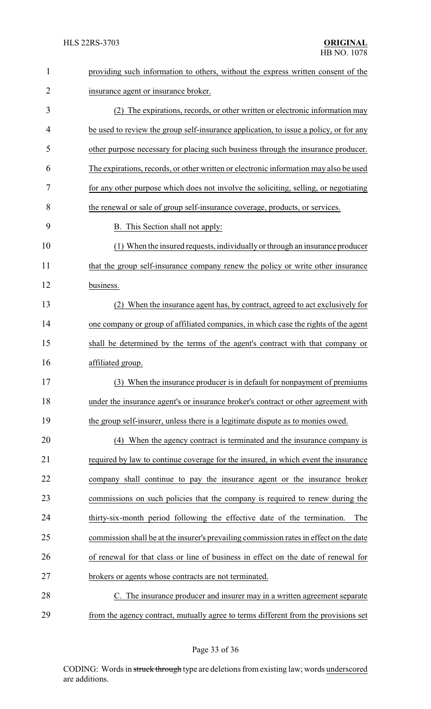| $\mathbf{1}$   | providing such information to others, without the express written consent of the       |  |
|----------------|----------------------------------------------------------------------------------------|--|
| $\overline{2}$ | insurance agent or insurance broker.                                                   |  |
| 3              | (2) The expirations, records, or other written or electronic information may           |  |
| 4              | be used to review the group self-insurance application, to issue a policy, or for any  |  |
| 5              | other purpose necessary for placing such business through the insurance producer.      |  |
| 6              | The expirations, records, or other written or electronic information may also be used  |  |
| 7              | for any other purpose which does not involve the soliciting, selling, or negotiating   |  |
| 8              | the renewal or sale of group self-insurance coverage, products, or services.           |  |
| 9              | <b>B.</b> This Section shall not apply:                                                |  |
| 10             | (1) When the insured requests, individually or through an insurance producer           |  |
| 11             | that the group self-insurance company renew the policy or write other insurance        |  |
| 12             | business.                                                                              |  |
| 13             | When the insurance agent has, by contract, agreed to act exclusively for               |  |
| 14             | one company or group of affiliated companies, in which case the rights of the agent    |  |
| 15             | shall be determined by the terms of the agent's contract with that company or          |  |
| 16             | affiliated group.                                                                      |  |
| 17             | (3) When the insurance producer is in default for nonpayment of premiums               |  |
| 18             | under the insurance agent's or insurance broker's contract or other agreement with     |  |
| 19             | the group self-insurer, unless there is a legitimate dispute as to monies owed.        |  |
| 20             | (4) When the agency contract is terminated and the insurance company is                |  |
| 21             | required by law to continue coverage for the insured, in which event the insurance     |  |
| 22             | company shall continue to pay the insurance agent or the insurance broker              |  |
| 23             | commissions on such policies that the company is required to renew during the          |  |
| 24             | thirty-six-month period following the effective date of the termination.<br>The        |  |
| 25             | commission shall be at the insurer's prevailing commission rates in effect on the date |  |
| 26             | of renewal for that class or line of business in effect on the date of renewal for     |  |
| 27             | brokers or agents whose contracts are not terminated.                                  |  |
| 28             | C. The insurance producer and insurer may in a written agreement separate              |  |
| 29             | from the agency contract, mutually agree to terms different from the provisions set    |  |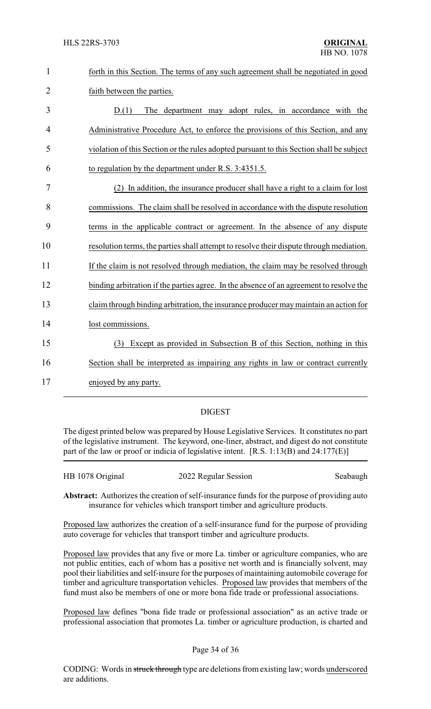| forth in this Section. The terms of any such agreement shall be negotiated in good |
|------------------------------------------------------------------------------------|
| faith between the parties.                                                         |

 D.(1) The department may adopt rules, in accordance with the Administrative Procedure Act, to enforce the provisions of this Section, and any violation of this Section or the rules adopted pursuant to this Section shall be subject to regulation by the department under R.S. 3:4351.5.

 (2) In addition, the insurance producer shall have a right to a claim for lost commissions. The claim shall be resolved in accordance with the dispute resolution terms in the applicable contract or agreement. In the absence of any dispute resolution terms, the parties shall attempt to resolve their dispute through mediation. 11 If the claim is not resolved through mediation, the claim may be resolved through 12 binding arbitration if the parties agree. In the absence of an agreement to resolve the claim through binding arbitration, the insurance producer maymaintain an action for lost commissions. (3) Except as provided in Subsection B of this Section, nothing in this Section shall be interpreted as impairing any rights in law or contract currently enjoyed by any party.

### DIGEST

The digest printed below was prepared by House Legislative Services. It constitutes no part of the legislative instrument. The keyword, one-liner, abstract, and digest do not constitute part of the law or proof or indicia of legislative intent. [R.S. 1:13(B) and 24:177(E)]

| HB 1078 Original | 2022 Regular Session | Seabaugh |
|------------------|----------------------|----------|
|                  |                      |          |

**Abstract:** Authorizes the creation of self-insurance funds for the purpose of providing auto insurance for vehicles which transport timber and agriculture products.

Proposed law authorizes the creation of a self-insurance fund for the purpose of providing auto coverage for vehicles that transport timber and agriculture products.

Proposed law provides that any five or more La. timber or agriculture companies, who are not public entities, each of whom has a positive net worth and is financially solvent, may pool their liabilities and self-insure for the purposes of maintaining automobile coverage for timber and agriculture transportation vehicles. Proposed law provides that members of the fund must also be members of one or more bona fide trade or professional associations.

Proposed law defines "bona fide trade or professional association" as an active trade or professional association that promotes La. timber or agriculture production, is charted and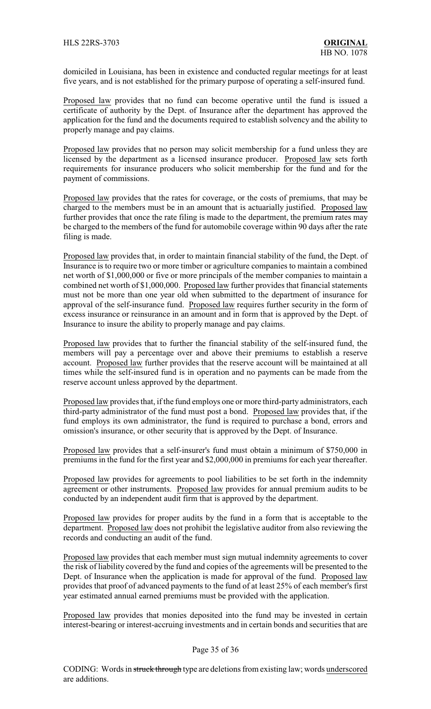domiciled in Louisiana, has been in existence and conducted regular meetings for at least five years, and is not established for the primary purpose of operating a self-insured fund.

Proposed law provides that no fund can become operative until the fund is issued a certificate of authority by the Dept. of Insurance after the department has approved the application for the fund and the documents required to establish solvency and the ability to properly manage and pay claims.

Proposed law provides that no person may solicit membership for a fund unless they are licensed by the department as a licensed insurance producer. Proposed law sets forth requirements for insurance producers who solicit membership for the fund and for the payment of commissions.

Proposed law provides that the rates for coverage, or the costs of premiums, that may be charged to the members must be in an amount that is actuarially justified. Proposed law further provides that once the rate filing is made to the department, the premium rates may be charged to the members of the fund for automobile coverage within 90 days after the rate filing is made.

Proposed law provides that, in order to maintain financial stability of the fund, the Dept. of Insurance is to require two or more timber or agriculture companies to maintain a combined net worth of \$1,000,000 or five or more principals of the member companies to maintain a combined net worth of \$1,000,000. Proposed law further provides that financial statements must not be more than one year old when submitted to the department of insurance for approval of the self-insurance fund. Proposed law requires further security in the form of excess insurance or reinsurance in an amount and in form that is approved by the Dept. of Insurance to insure the ability to properly manage and pay claims.

Proposed law provides that to further the financial stability of the self-insured fund, the members will pay a percentage over and above their premiums to establish a reserve account. Proposed law further provides that the reserve account will be maintained at all times while the self-insured fund is in operation and no payments can be made from the reserve account unless approved by the department.

Proposed law provides that, if the fund employs one or more third-party administrators, each third-party administrator of the fund must post a bond. Proposed law provides that, if the fund employs its own administrator, the fund is required to purchase a bond, errors and omission's insurance, or other security that is approved by the Dept. of Insurance.

Proposed law provides that a self-insurer's fund must obtain a minimum of \$750,000 in premiums in the fund for the first year and \$2,000,000 in premiums for each year thereafter.

Proposed law provides for agreements to pool liabilities to be set forth in the indemnity agreement or other instruments. Proposed law provides for annual premium audits to be conducted by an independent audit firm that is approved by the department.

Proposed law provides for proper audits by the fund in a form that is acceptable to the department. Proposed law does not prohibit the legislative auditor from also reviewing the records and conducting an audit of the fund.

Proposed law provides that each member must sign mutual indemnity agreements to cover the risk of liability covered by the fund and copies of the agreements will be presented to the Dept. of Insurance when the application is made for approval of the fund. Proposed law provides that proof of advanced payments to the fund of at least 25% of each member's first year estimated annual earned premiums must be provided with the application.

Proposed law provides that monies deposited into the fund may be invested in certain interest-bearing or interest-accruing investments and in certain bonds and securities that are

### Page 35 of 36